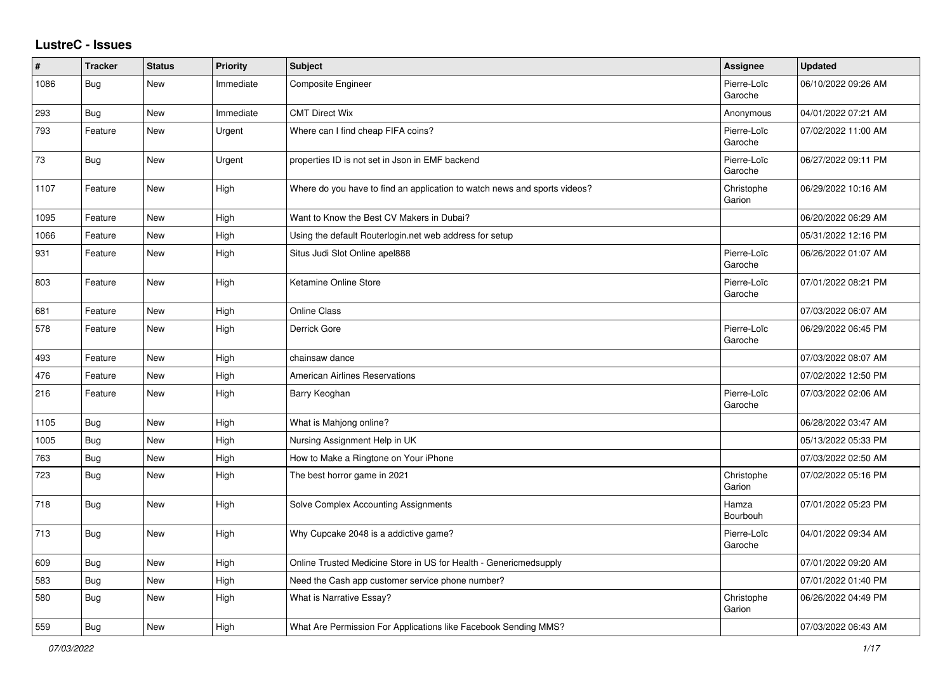## **LustreC - Issues**

| $\#$ | <b>Tracker</b> | <b>Status</b> | <b>Priority</b> | <b>Subject</b>                                                            | <b>Assignee</b>        | <b>Updated</b>      |
|------|----------------|---------------|-----------------|---------------------------------------------------------------------------|------------------------|---------------------|
| 1086 | Bug            | <b>New</b>    | Immediate       | Composite Engineer                                                        | Pierre-Loïc<br>Garoche | 06/10/2022 09:26 AM |
| 293  | Bug            | <b>New</b>    | Immediate       | <b>CMT Direct Wix</b>                                                     | Anonymous              | 04/01/2022 07:21 AM |
| 793  | Feature        | New           | Urgent          | Where can I find cheap FIFA coins?                                        | Pierre-Loïc<br>Garoche | 07/02/2022 11:00 AM |
| 73   | <b>Bug</b>     | <b>New</b>    | Urgent          | properties ID is not set in Json in EMF backend                           | Pierre-Loïc<br>Garoche | 06/27/2022 09:11 PM |
| 1107 | Feature        | <b>New</b>    | High            | Where do you have to find an application to watch news and sports videos? | Christophe<br>Garion   | 06/29/2022 10:16 AM |
| 1095 | Feature        | <b>New</b>    | High            | Want to Know the Best CV Makers in Dubai?                                 |                        | 06/20/2022 06:29 AM |
| 1066 | Feature        | <b>New</b>    | High            | Using the default Routerlogin.net web address for setup                   |                        | 05/31/2022 12:16 PM |
| 931  | Feature        | New           | High            | Situs Judi Slot Online apel888                                            | Pierre-Loïc<br>Garoche | 06/26/2022 01:07 AM |
| 803  | Feature        | New           | High            | Ketamine Online Store                                                     | Pierre-Loïc<br>Garoche | 07/01/2022 08:21 PM |
| 681  | Feature        | <b>New</b>    | High            | <b>Online Class</b>                                                       |                        | 07/03/2022 06:07 AM |
| 578  | Feature        | <b>New</b>    | High            | Derrick Gore                                                              | Pierre-Loïc<br>Garoche | 06/29/2022 06:45 PM |
| 493  | Feature        | New           | High            | chainsaw dance                                                            |                        | 07/03/2022 08:07 AM |
| 476  | Feature        | New           | High            | <b>American Airlines Reservations</b>                                     |                        | 07/02/2022 12:50 PM |
| 216  | Feature        | New           | High            | Barry Keoghan                                                             | Pierre-Loïc<br>Garoche | 07/03/2022 02:06 AM |
| 1105 | Bug            | <b>New</b>    | High            | What is Mahjong online?                                                   |                        | 06/28/2022 03:47 AM |
| 1005 | Bug            | New           | High            | Nursing Assignment Help in UK                                             |                        | 05/13/2022 05:33 PM |
| 763  | Bug            | New           | High            | How to Make a Ringtone on Your iPhone                                     |                        | 07/03/2022 02:50 AM |
| 723  | <b>Bug</b>     | <b>New</b>    | High            | The best horror game in 2021                                              | Christophe<br>Garion   | 07/02/2022 05:16 PM |
| 718  | <b>Bug</b>     | <b>New</b>    | High            | Solve Complex Accounting Assignments                                      | Hamza<br>Bourbouh      | 07/01/2022 05:23 PM |
| 713  | Bug            | <b>New</b>    | High            | Why Cupcake 2048 is a addictive game?                                     | Pierre-Loïc<br>Garoche | 04/01/2022 09:34 AM |
| 609  | <b>Bug</b>     | <b>New</b>    | High            | Online Trusted Medicine Store in US for Health - Genericmedsupply         |                        | 07/01/2022 09:20 AM |
| 583  | Bug            | <b>New</b>    | High            | Need the Cash app customer service phone number?                          |                        | 07/01/2022 01:40 PM |
| 580  | <b>Bug</b>     | New           | High            | What is Narrative Essay?                                                  | Christophe<br>Garion   | 06/26/2022 04:49 PM |
| 559  | <b>Bug</b>     | <b>New</b>    | High            | What Are Permission For Applications like Facebook Sending MMS?           |                        | 07/03/2022 06:43 AM |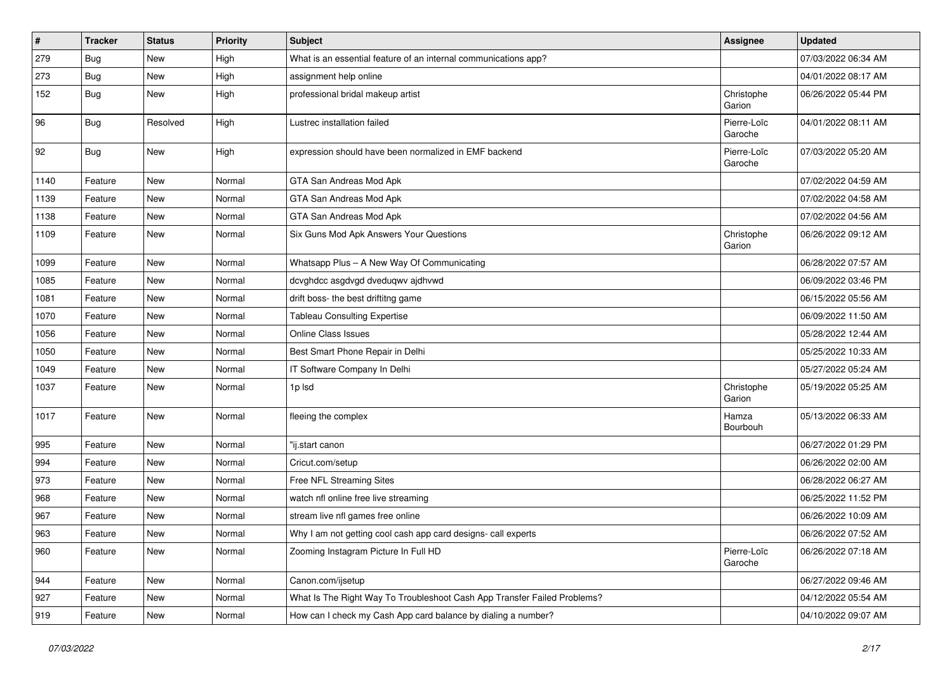| $\vert$ # | <b>Tracker</b> | <b>Status</b> | <b>Priority</b> | <b>Subject</b>                                                           | <b>Assignee</b>        | <b>Updated</b>      |
|-----------|----------------|---------------|-----------------|--------------------------------------------------------------------------|------------------------|---------------------|
| 279       | <b>Bug</b>     | New           | High            | What is an essential feature of an internal communications app?          |                        | 07/03/2022 06:34 AM |
| 273       | <b>Bug</b>     | <b>New</b>    | High            | assignment help online                                                   |                        | 04/01/2022 08:17 AM |
| 152       | Bug            | New           | High            | professional bridal makeup artist                                        | Christophe<br>Garion   | 06/26/2022 05:44 PM |
| 96        | Bug            | Resolved      | High            | Lustrec installation failed                                              | Pierre-Loïc<br>Garoche | 04/01/2022 08:11 AM |
| 92        | Bug            | New           | High            | expression should have been normalized in EMF backend                    | Pierre-Loïc<br>Garoche | 07/03/2022 05:20 AM |
| 1140      | Feature        | <b>New</b>    | Normal          | GTA San Andreas Mod Apk                                                  |                        | 07/02/2022 04:59 AM |
| 1139      | Feature        | <b>New</b>    | Normal          | GTA San Andreas Mod Apk                                                  |                        | 07/02/2022 04:58 AM |
| 1138      | Feature        | New           | Normal          | GTA San Andreas Mod Apk                                                  |                        | 07/02/2022 04:56 AM |
| 1109      | Feature        | New           | Normal          | Six Guns Mod Apk Answers Your Questions                                  | Christophe<br>Garion   | 06/26/2022 09:12 AM |
| 1099      | Feature        | <b>New</b>    | Normal          | Whatsapp Plus - A New Way Of Communicating                               |                        | 06/28/2022 07:57 AM |
| 1085      | Feature        | New           | Normal          | dcvghdcc asgdvgd dveduqwv ajdhvwd                                        |                        | 06/09/2022 03:46 PM |
| 1081      | Feature        | New           | Normal          | drift boss- the best driftitng game                                      |                        | 06/15/2022 05:56 AM |
| 1070      | Feature        | New           | Normal          | <b>Tableau Consulting Expertise</b>                                      |                        | 06/09/2022 11:50 AM |
| 1056      | Feature        | New           | Normal          | Online Class Issues                                                      |                        | 05/28/2022 12:44 AM |
| 1050      | Feature        | New           | Normal          | Best Smart Phone Repair in Delhi                                         |                        | 05/25/2022 10:33 AM |
| 1049      | Feature        | New           | Normal          | IT Software Company In Delhi                                             |                        | 05/27/2022 05:24 AM |
| 1037      | Feature        | New           | Normal          | 1p lsd                                                                   | Christophe<br>Garion   | 05/19/2022 05:25 AM |
| 1017      | Feature        | New           | Normal          | fleeing the complex                                                      | Hamza<br>Bourbouh      | 05/13/2022 06:33 AM |
| 995       | Feature        | New           | Normal          | "ij.start canon                                                          |                        | 06/27/2022 01:29 PM |
| 994       | Feature        | New           | Normal          | Cricut.com/setup                                                         |                        | 06/26/2022 02:00 AM |
| 973       | Feature        | New           | Normal          | Free NFL Streaming Sites                                                 |                        | 06/28/2022 06:27 AM |
| 968       | Feature        | New           | Normal          | watch nfl online free live streaming                                     |                        | 06/25/2022 11:52 PM |
| 967       | Feature        | New           | Normal          | stream live nfl games free online                                        |                        | 06/26/2022 10:09 AM |
| 963       | Feature        | New           | Normal          | Why I am not getting cool cash app card designs- call experts            |                        | 06/26/2022 07:52 AM |
| 960       | Feature        | New           | Normal          | Zooming Instagram Picture In Full HD                                     | Pierre-Loïc<br>Garoche | 06/26/2022 07:18 AM |
| 944       | Feature        | New           | Normal          | Canon.com/ijsetup                                                        |                        | 06/27/2022 09:46 AM |
| 927       | Feature        | New           | Normal          | What Is The Right Way To Troubleshoot Cash App Transfer Failed Problems? |                        | 04/12/2022 05:54 AM |
| 919       | Feature        | New           | Normal          | How can I check my Cash App card balance by dialing a number?            |                        | 04/10/2022 09:07 AM |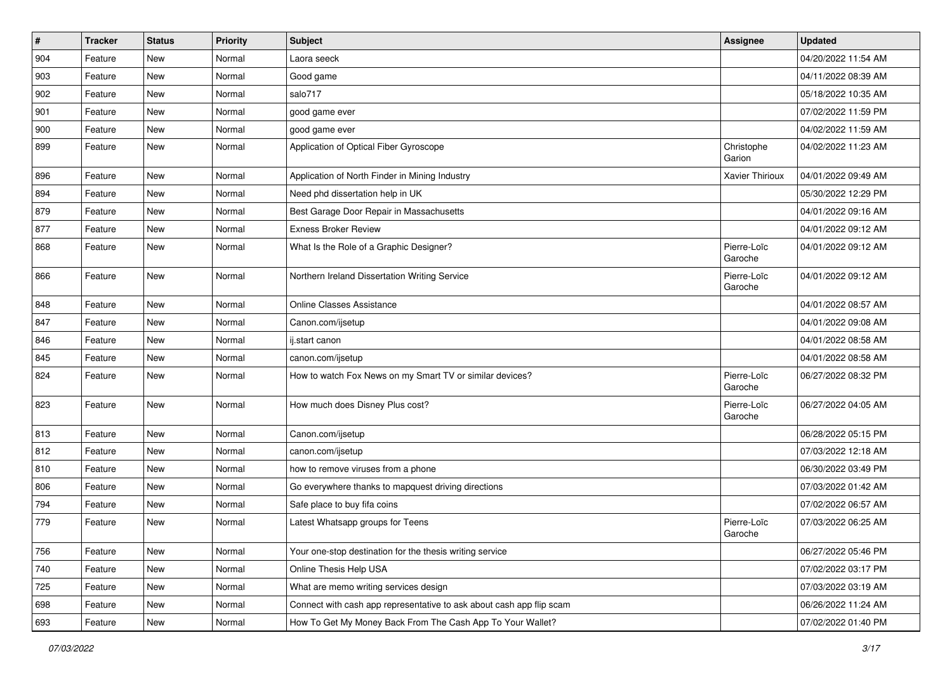| $\vert$ # | <b>Tracker</b> | <b>Status</b> | <b>Priority</b> | <b>Subject</b>                                                       | <b>Assignee</b>        | <b>Updated</b>      |
|-----------|----------------|---------------|-----------------|----------------------------------------------------------------------|------------------------|---------------------|
| 904       | Feature        | New           | Normal          | Laora seeck                                                          |                        | 04/20/2022 11:54 AM |
| 903       | Feature        | New           | Normal          | Good game                                                            |                        | 04/11/2022 08:39 AM |
| 902       | Feature        | New           | Normal          | salo717                                                              |                        | 05/18/2022 10:35 AM |
| 901       | Feature        | New           | Normal          | good game ever                                                       |                        | 07/02/2022 11:59 PM |
| 900       | Feature        | New           | Normal          | good game ever                                                       |                        | 04/02/2022 11:59 AM |
| 899       | Feature        | New           | Normal          | Application of Optical Fiber Gyroscope                               | Christophe<br>Garion   | 04/02/2022 11:23 AM |
| 896       | Feature        | New           | Normal          | Application of North Finder in Mining Industry                       | Xavier Thirioux        | 04/01/2022 09:49 AM |
| 894       | Feature        | New           | Normal          | Need phd dissertation help in UK                                     |                        | 05/30/2022 12:29 PM |
| 879       | Feature        | New           | Normal          | Best Garage Door Repair in Massachusetts                             |                        | 04/01/2022 09:16 AM |
| 877       | Feature        | New           | Normal          | <b>Exness Broker Review</b>                                          |                        | 04/01/2022 09:12 AM |
| 868       | Feature        | New           | Normal          | What Is the Role of a Graphic Designer?                              | Pierre-Loïc<br>Garoche | 04/01/2022 09:12 AM |
| 866       | Feature        | New           | Normal          | Northern Ireland Dissertation Writing Service                        | Pierre-Loïc<br>Garoche | 04/01/2022 09:12 AM |
| 848       | Feature        | New           | Normal          | <b>Online Classes Assistance</b>                                     |                        | 04/01/2022 08:57 AM |
| 847       | Feature        | New           | Normal          | Canon.com/ijsetup                                                    |                        | 04/01/2022 09:08 AM |
| 846       | Feature        | New           | Normal          | ij.start canon                                                       |                        | 04/01/2022 08:58 AM |
| 845       | Feature        | New           | Normal          | canon.com/ijsetup                                                    |                        | 04/01/2022 08:58 AM |
| 824       | Feature        | New           | Normal          | How to watch Fox News on my Smart TV or similar devices?             | Pierre-Loïc<br>Garoche | 06/27/2022 08:32 PM |
| 823       | Feature        | New           | Normal          | How much does Disney Plus cost?                                      | Pierre-Loïc<br>Garoche | 06/27/2022 04:05 AM |
| 813       | Feature        | New           | Normal          | Canon.com/ijsetup                                                    |                        | 06/28/2022 05:15 PM |
| 812       | Feature        | New           | Normal          | canon.com/ijsetup                                                    |                        | 07/03/2022 12:18 AM |
| 810       | Feature        | New           | Normal          | how to remove viruses from a phone                                   |                        | 06/30/2022 03:49 PM |
| 806       | Feature        | New           | Normal          | Go everywhere thanks to mapquest driving directions                  |                        | 07/03/2022 01:42 AM |
| 794       | Feature        | New           | Normal          | Safe place to buy fifa coins                                         |                        | 07/02/2022 06:57 AM |
| 779       | Feature        | New           | Normal          | Latest Whatsapp groups for Teens                                     | Pierre-Loïc<br>Garoche | 07/03/2022 06:25 AM |
| 756       | Feature        | New           | Normal          | Your one-stop destination for the thesis writing service             |                        | 06/27/2022 05:46 PM |
| 740       | Feature        | New           | Normal          | Online Thesis Help USA                                               |                        | 07/02/2022 03:17 PM |
| 725       | Feature        | New           | Normal          | What are memo writing services design                                |                        | 07/03/2022 03:19 AM |
| 698       | Feature        | New           | Normal          | Connect with cash app representative to ask about cash app flip scam |                        | 06/26/2022 11:24 AM |
| 693       | Feature        | New           | Normal          | How To Get My Money Back From The Cash App To Your Wallet?           |                        | 07/02/2022 01:40 PM |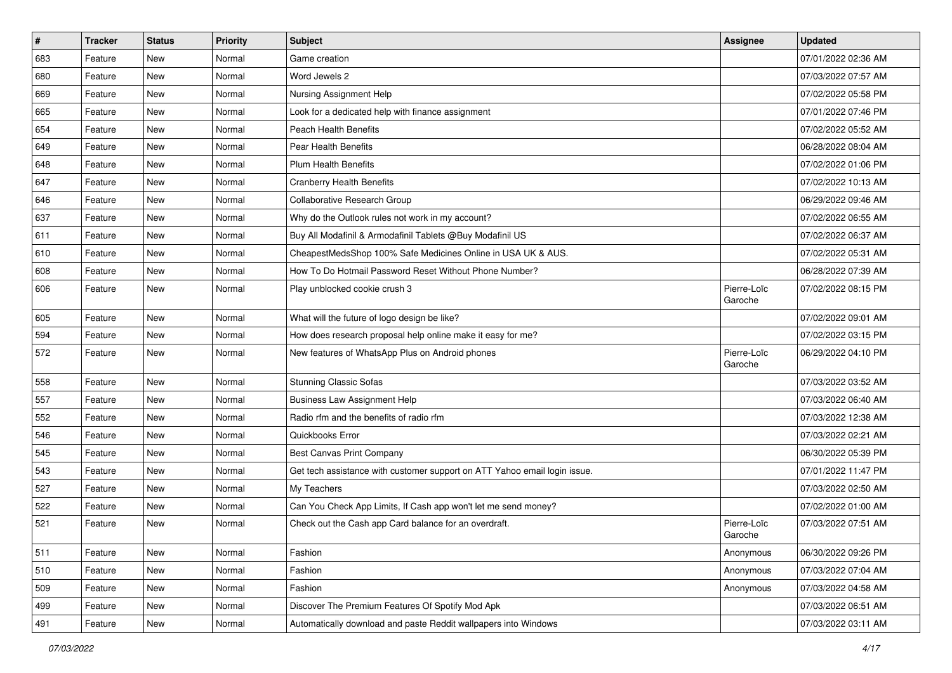| $\sharp$ | <b>Tracker</b> | <b>Status</b> | <b>Priority</b> | <b>Subject</b>                                                            | <b>Assignee</b>        | <b>Updated</b>      |
|----------|----------------|---------------|-----------------|---------------------------------------------------------------------------|------------------------|---------------------|
| 683      | Feature        | New           | Normal          | Game creation                                                             |                        | 07/01/2022 02:36 AM |
| 680      | Feature        | New           | Normal          | Word Jewels 2                                                             |                        | 07/03/2022 07:57 AM |
| 669      | Feature        | New           | Normal          | Nursing Assignment Help                                                   |                        | 07/02/2022 05:58 PM |
| 665      | Feature        | New           | Normal          | Look for a dedicated help with finance assignment                         |                        | 07/01/2022 07:46 PM |
| 654      | Feature        | New           | Normal          | Peach Health Benefits                                                     |                        | 07/02/2022 05:52 AM |
| 649      | Feature        | New           | Normal          | Pear Health Benefits                                                      |                        | 06/28/2022 08:04 AM |
| 648      | Feature        | New           | Normal          | <b>Plum Health Benefits</b>                                               |                        | 07/02/2022 01:06 PM |
| 647      | Feature        | New           | Normal          | <b>Cranberry Health Benefits</b>                                          |                        | 07/02/2022 10:13 AM |
| 646      | Feature        | New           | Normal          | Collaborative Research Group                                              |                        | 06/29/2022 09:46 AM |
| 637      | Feature        | New           | Normal          | Why do the Outlook rules not work in my account?                          |                        | 07/02/2022 06:55 AM |
| 611      | Feature        | New           | Normal          | Buy All Modafinil & Armodafinil Tablets @Buy Modafinil US                 |                        | 07/02/2022 06:37 AM |
| 610      | Feature        | New           | Normal          | CheapestMedsShop 100% Safe Medicines Online in USA UK & AUS.              |                        | 07/02/2022 05:31 AM |
| 608      | Feature        | New           | Normal          | How To Do Hotmail Password Reset Without Phone Number?                    |                        | 06/28/2022 07:39 AM |
| 606      | Feature        | New           | Normal          | Play unblocked cookie crush 3                                             | Pierre-Loïc<br>Garoche | 07/02/2022 08:15 PM |
| 605      | Feature        | New           | Normal          | What will the future of logo design be like?                              |                        | 07/02/2022 09:01 AM |
| 594      | Feature        | New           | Normal          | How does research proposal help online make it easy for me?               |                        | 07/02/2022 03:15 PM |
| 572      | Feature        | New           | Normal          | New features of WhatsApp Plus on Android phones                           | Pierre-Loïc<br>Garoche | 06/29/2022 04:10 PM |
| 558      | Feature        | New           | Normal          | Stunning Classic Sofas                                                    |                        | 07/03/2022 03:52 AM |
| 557      | Feature        | New           | Normal          | <b>Business Law Assignment Help</b>                                       |                        | 07/03/2022 06:40 AM |
| 552      | Feature        | New           | Normal          | Radio rfm and the benefits of radio rfm                                   |                        | 07/03/2022 12:38 AM |
| 546      | Feature        | New           | Normal          | Quickbooks Error                                                          |                        | 07/03/2022 02:21 AM |
| 545      | Feature        | New           | Normal          | Best Canvas Print Company                                                 |                        | 06/30/2022 05:39 PM |
| 543      | Feature        | New           | Normal          | Get tech assistance with customer support on ATT Yahoo email login issue. |                        | 07/01/2022 11:47 PM |
| 527      | Feature        | New           | Normal          | My Teachers                                                               |                        | 07/03/2022 02:50 AM |
| 522      | Feature        | New           | Normal          | Can You Check App Limits, If Cash app won't let me send money?            |                        | 07/02/2022 01:00 AM |
| 521      | Feature        | New           | Normal          | Check out the Cash app Card balance for an overdraft.                     | Pierre-Loïc<br>Garoche | 07/03/2022 07:51 AM |
| 511      | Feature        | New           | Normal          | Fashion                                                                   | Anonymous              | 06/30/2022 09:26 PM |
| 510      | Feature        | New           | Normal          | Fashion                                                                   | Anonymous              | 07/03/2022 07:04 AM |
| 509      | Feature        | New           | Normal          | Fashion                                                                   | Anonymous              | 07/03/2022 04:58 AM |
| 499      | Feature        | New           | Normal          | Discover The Premium Features Of Spotify Mod Apk                          |                        | 07/03/2022 06:51 AM |
| 491      | Feature        | New           | Normal          | Automatically download and paste Reddit wallpapers into Windows           |                        | 07/03/2022 03:11 AM |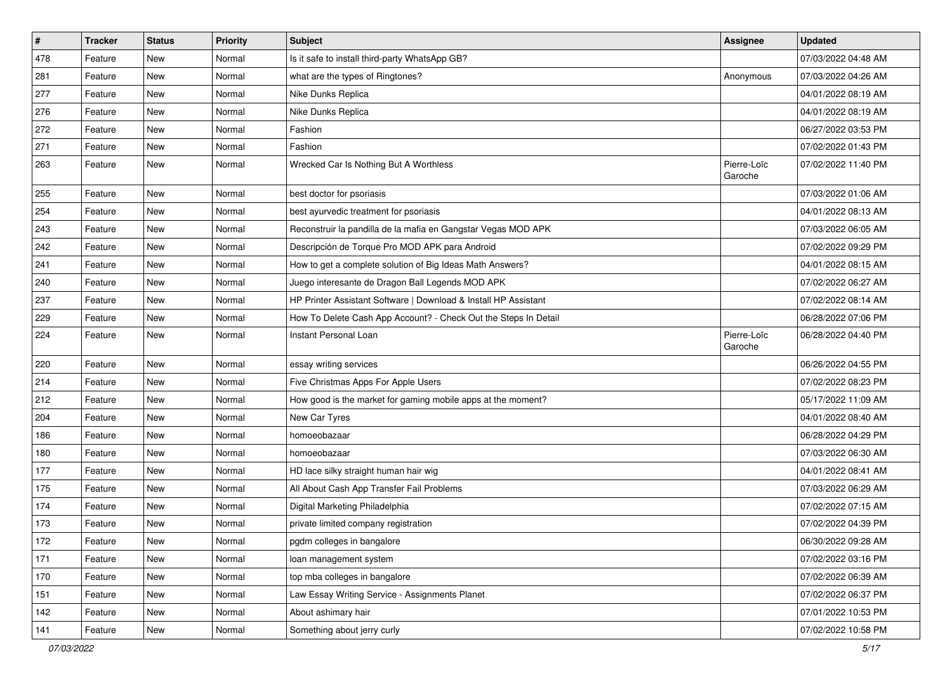| $\sharp$ | <b>Tracker</b> | <b>Status</b> | <b>Priority</b> | Subject                                                         | <b>Assignee</b>        | <b>Updated</b>      |
|----------|----------------|---------------|-----------------|-----------------------------------------------------------------|------------------------|---------------------|
| 478      | Feature        | New           | Normal          | Is it safe to install third-party WhatsApp GB?                  |                        | 07/03/2022 04:48 AM |
| 281      | Feature        | New           | Normal          | what are the types of Ringtones?                                | Anonymous              | 07/03/2022 04:26 AM |
| 277      | Feature        | New           | Normal          | Nike Dunks Replica                                              |                        | 04/01/2022 08:19 AM |
| 276      | Feature        | New           | Normal          | Nike Dunks Replica                                              |                        | 04/01/2022 08:19 AM |
| 272      | Feature        | New           | Normal          | Fashion                                                         |                        | 06/27/2022 03:53 PM |
| 271      | Feature        | New           | Normal          | Fashion                                                         |                        | 07/02/2022 01:43 PM |
| 263      | Feature        | New           | Normal          | Wrecked Car Is Nothing But A Worthless                          | Pierre-Loïc<br>Garoche | 07/02/2022 11:40 PM |
| 255      | Feature        | New           | Normal          | best doctor for psoriasis                                       |                        | 07/03/2022 01:06 AM |
| 254      | Feature        | New           | Normal          | best ayurvedic treatment for psoriasis                          |                        | 04/01/2022 08:13 AM |
| 243      | Feature        | New           | Normal          | Reconstruir la pandilla de la mafia en Gangstar Vegas MOD APK   |                        | 07/03/2022 06:05 AM |
| 242      | Feature        | New           | Normal          | Descripción de Torque Pro MOD APK para Android                  |                        | 07/02/2022 09:29 PM |
| 241      | Feature        | New           | Normal          | How to get a complete solution of Big Ideas Math Answers?       |                        | 04/01/2022 08:15 AM |
| 240      | Feature        | New           | Normal          | Juego interesante de Dragon Ball Legends MOD APK                |                        | 07/02/2022 06:27 AM |
| 237      | Feature        | New           | Normal          | HP Printer Assistant Software   Download & Install HP Assistant |                        | 07/02/2022 08:14 AM |
| 229      | Feature        | New           | Normal          | How To Delete Cash App Account? - Check Out the Steps In Detail |                        | 06/28/2022 07:06 PM |
| 224      | Feature        | New           | Normal          | Instant Personal Loan                                           | Pierre-Loïc<br>Garoche | 06/28/2022 04:40 PM |
| 220      | Feature        | New           | Normal          | essay writing services                                          |                        | 06/26/2022 04:55 PM |
| 214      | Feature        | New           | Normal          | Five Christmas Apps For Apple Users                             |                        | 07/02/2022 08:23 PM |
| 212      | Feature        | New           | Normal          | How good is the market for gaming mobile apps at the moment?    |                        | 05/17/2022 11:09 AM |
| 204      | Feature        | New           | Normal          | New Car Tyres                                                   |                        | 04/01/2022 08:40 AM |
| 186      | Feature        | New           | Normal          | homoeobazaar                                                    |                        | 06/28/2022 04:29 PM |
| 180      | Feature        | New           | Normal          | homoeobazaar                                                    |                        | 07/03/2022 06:30 AM |
| 177      | Feature        | New           | Normal          | HD lace silky straight human hair wig                           |                        | 04/01/2022 08:41 AM |
| 175      | Feature        | New           | Normal          | All About Cash App Transfer Fail Problems                       |                        | 07/03/2022 06:29 AM |
| 174      | Feature        | New           | Normal          | Digital Marketing Philadelphia                                  |                        | 07/02/2022 07:15 AM |
| 173      | Feature        | <b>New</b>    | Normal          | private limited company registration                            |                        | 07/02/2022 04:39 PM |
| 172      | Feature        | New           | Normal          | pgdm colleges in bangalore                                      |                        | 06/30/2022 09:28 AM |
| 171      | Feature        | New           | Normal          | loan management system                                          |                        | 07/02/2022 03:16 PM |
| 170      | Feature        | New           | Normal          | top mba colleges in bangalore                                   |                        | 07/02/2022 06:39 AM |
| 151      | Feature        | New           | Normal          | Law Essay Writing Service - Assignments Planet                  |                        | 07/02/2022 06:37 PM |
| 142      | Feature        | New           | Normal          | About ashimary hair                                             |                        | 07/01/2022 10:53 PM |
| 141      | Feature        | New           | Normal          | Something about jerry curly                                     |                        | 07/02/2022 10:58 PM |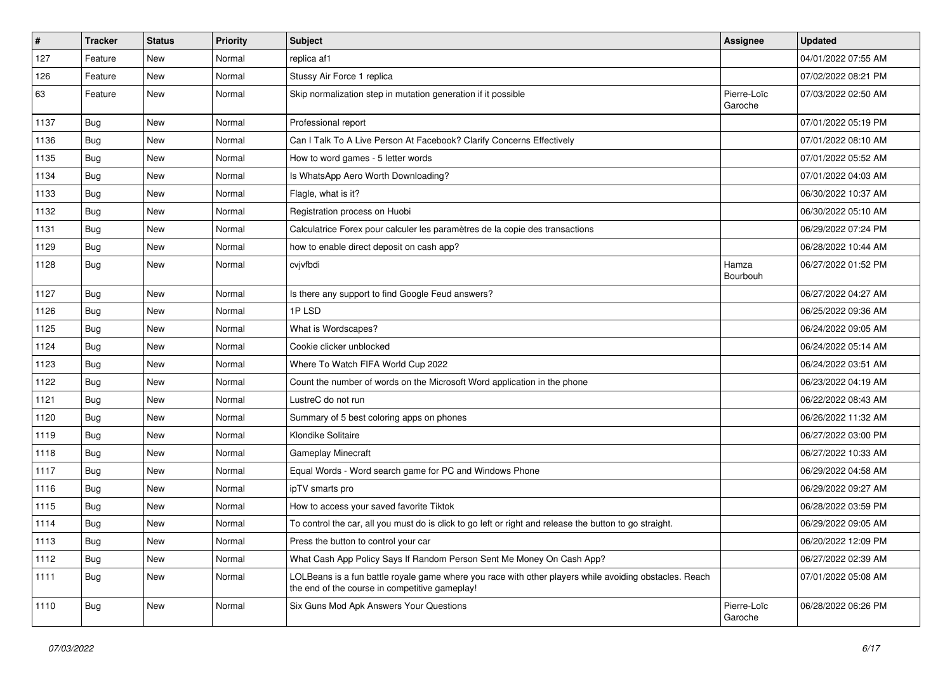| $\vert$ # | Tracker    | <b>Status</b> | <b>Priority</b> | <b>Subject</b>                                                                                                                                           | <b>Assignee</b>        | <b>Updated</b>      |
|-----------|------------|---------------|-----------------|----------------------------------------------------------------------------------------------------------------------------------------------------------|------------------------|---------------------|
| 127       | Feature    | New           | Normal          | replica af1                                                                                                                                              |                        | 04/01/2022 07:55 AM |
| 126       | Feature    | New           | Normal          | Stussy Air Force 1 replica                                                                                                                               |                        | 07/02/2022 08:21 PM |
| 63        | Feature    | New           | Normal          | Skip normalization step in mutation generation if it possible                                                                                            | Pierre-Loïc<br>Garoche | 07/03/2022 02:50 AM |
| 1137      | Bug        | <b>New</b>    | Normal          | Professional report                                                                                                                                      |                        | 07/01/2022 05:19 PM |
| 1136      | Bug        | New           | Normal          | Can I Talk To A Live Person At Facebook? Clarify Concerns Effectively                                                                                    |                        | 07/01/2022 08:10 AM |
| 1135      | Bug        | New           | Normal          | How to word games - 5 letter words                                                                                                                       |                        | 07/01/2022 05:52 AM |
| 1134      | Bug        | New           | Normal          | Is WhatsApp Aero Worth Downloading?                                                                                                                      |                        | 07/01/2022 04:03 AM |
| 1133      | <b>Bug</b> | New           | Normal          | Flagle, what is it?                                                                                                                                      |                        | 06/30/2022 10:37 AM |
| 1132      | Bug        | <b>New</b>    | Normal          | Registration process on Huobi                                                                                                                            |                        | 06/30/2022 05:10 AM |
| 1131      | <b>Bug</b> | New           | Normal          | Calculatrice Forex pour calculer les paramètres de la copie des transactions                                                                             |                        | 06/29/2022 07:24 PM |
| 1129      | Bug        | New           | Normal          | how to enable direct deposit on cash app?                                                                                                                |                        | 06/28/2022 10:44 AM |
| 1128      | Bug        | New           | Normal          | cvjvfbdi                                                                                                                                                 | Hamza<br>Bourbouh      | 06/27/2022 01:52 PM |
| 1127      | Bug        | <b>New</b>    | Normal          | Is there any support to find Google Feud answers?                                                                                                        |                        | 06/27/2022 04:27 AM |
| 1126      | Bug        | New           | Normal          | 1PLSD                                                                                                                                                    |                        | 06/25/2022 09:36 AM |
| 1125      | Bug        | New           | Normal          | What is Wordscapes?                                                                                                                                      |                        | 06/24/2022 09:05 AM |
| 1124      | Bug        | New           | Normal          | Cookie clicker unblocked                                                                                                                                 |                        | 06/24/2022 05:14 AM |
| 1123      | <b>Bug</b> | New           | Normal          | Where To Watch FIFA World Cup 2022                                                                                                                       |                        | 06/24/2022 03:51 AM |
| 1122      | Bug        | <b>New</b>    | Normal          | Count the number of words on the Microsoft Word application in the phone                                                                                 |                        | 06/23/2022 04:19 AM |
| 1121      | Bug        | New           | Normal          | LustreC do not run                                                                                                                                       |                        | 06/22/2022 08:43 AM |
| 1120      | Bug        | New           | Normal          | Summary of 5 best coloring apps on phones                                                                                                                |                        | 06/26/2022 11:32 AM |
| 1119      | Bug        | <b>New</b>    | Normal          | Klondike Solitaire                                                                                                                                       |                        | 06/27/2022 03:00 PM |
| 1118      | Bug        | New           | Normal          | <b>Gameplay Minecraft</b>                                                                                                                                |                        | 06/27/2022 10:33 AM |
| 1117      | Bug        | New           | Normal          | Equal Words - Word search game for PC and Windows Phone                                                                                                  |                        | 06/29/2022 04:58 AM |
| 1116      | Bug        | New           | Normal          | ipTV smarts pro                                                                                                                                          |                        | 06/29/2022 09:27 AM |
| 1115      | <b>Bug</b> | New           | Normal          | How to access your saved favorite Tiktok                                                                                                                 |                        | 06/28/2022 03:59 PM |
| 1114      | Bug        | New           | Normal          | To control the car, all you must do is click to go left or right and release the button to go straight.                                                  |                        | 06/29/2022 09:05 AM |
| 1113      | <b>Bug</b> | New           | Normal          | Press the button to control your car                                                                                                                     |                        | 06/20/2022 12:09 PM |
| 1112      | Bug        | New           | Normal          | What Cash App Policy Says If Random Person Sent Me Money On Cash App?                                                                                    |                        | 06/27/2022 02:39 AM |
| 1111      | <b>Bug</b> | New           | Normal          | LOLBeans is a fun battle royale game where you race with other players while avoiding obstacles. Reach<br>the end of the course in competitive gameplay! |                        | 07/01/2022 05:08 AM |
| 1110      | Bug        | New           | Normal          | Six Guns Mod Apk Answers Your Questions                                                                                                                  | Pierre-Loïc<br>Garoche | 06/28/2022 06:26 PM |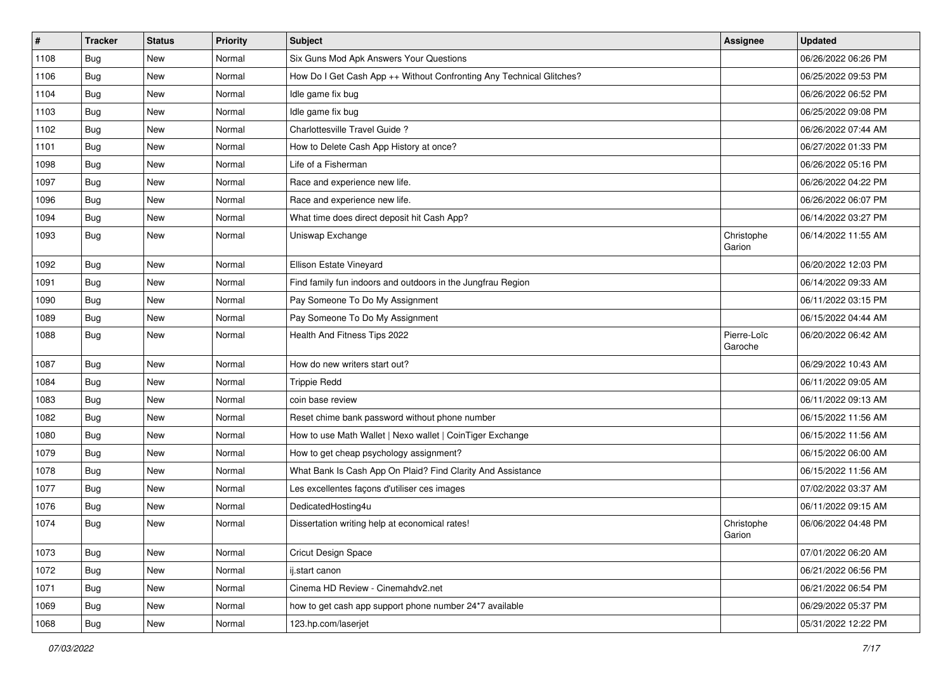| $\pmb{\#}$ | <b>Tracker</b> | <b>Status</b> | <b>Priority</b> | Subject                                                              | <b>Assignee</b>        | <b>Updated</b>      |
|------------|----------------|---------------|-----------------|----------------------------------------------------------------------|------------------------|---------------------|
| 1108       | <b>Bug</b>     | New           | Normal          | Six Guns Mod Apk Answers Your Questions                              |                        | 06/26/2022 06:26 PM |
| 1106       | Bug            | <b>New</b>    | Normal          | How Do I Get Cash App ++ Without Confronting Any Technical Glitches? |                        | 06/25/2022 09:53 PM |
| 1104       | <b>Bug</b>     | New           | Normal          | Idle game fix bug                                                    |                        | 06/26/2022 06:52 PM |
| 1103       | Bug            | New           | Normal          | Idle game fix bug                                                    |                        | 06/25/2022 09:08 PM |
| 1102       | Bug            | New           | Normal          | Charlottesville Travel Guide?                                        |                        | 06/26/2022 07:44 AM |
| 1101       | <b>Bug</b>     | New           | Normal          | How to Delete Cash App History at once?                              |                        | 06/27/2022 01:33 PM |
| 1098       | Bug            | New           | Normal          | Life of a Fisherman                                                  |                        | 06/26/2022 05:16 PM |
| 1097       | Bug            | New           | Normal          | Race and experience new life.                                        |                        | 06/26/2022 04:22 PM |
| 1096       | <b>Bug</b>     | New           | Normal          | Race and experience new life.                                        |                        | 06/26/2022 06:07 PM |
| 1094       | Bug            | New           | Normal          | What time does direct deposit hit Cash App?                          |                        | 06/14/2022 03:27 PM |
| 1093       | Bug            | New           | Normal          | Uniswap Exchange                                                     | Christophe<br>Garion   | 06/14/2022 11:55 AM |
| 1092       | Bug            | <b>New</b>    | Normal          | Ellison Estate Vineyard                                              |                        | 06/20/2022 12:03 PM |
| 1091       | Bug            | New           | Normal          | Find family fun indoors and outdoors in the Jungfrau Region          |                        | 06/14/2022 09:33 AM |
| 1090       | Bug            | New           | Normal          | Pay Someone To Do My Assignment                                      |                        | 06/11/2022 03:15 PM |
| 1089       | Bug            | New           | Normal          | Pay Someone To Do My Assignment                                      |                        | 06/15/2022 04:44 AM |
| 1088       | Bug            | New           | Normal          | Health And Fitness Tips 2022                                         | Pierre-Loïc<br>Garoche | 06/20/2022 06:42 AM |
| 1087       | Bug            | <b>New</b>    | Normal          | How do new writers start out?                                        |                        | 06/29/2022 10:43 AM |
| 1084       | Bug            | New           | Normal          | <b>Trippie Redd</b>                                                  |                        | 06/11/2022 09:05 AM |
| 1083       | Bug            | New           | Normal          | coin base review                                                     |                        | 06/11/2022 09:13 AM |
| 1082       | Bug            | New           | Normal          | Reset chime bank password without phone number                       |                        | 06/15/2022 11:56 AM |
| 1080       | <b>Bug</b>     | New           | Normal          | How to use Math Wallet   Nexo wallet   CoinTiger Exchange            |                        | 06/15/2022 11:56 AM |
| 1079       | Bug            | New           | Normal          | How to get cheap psychology assignment?                              |                        | 06/15/2022 06:00 AM |
| 1078       | Bug            | New           | Normal          | What Bank Is Cash App On Plaid? Find Clarity And Assistance          |                        | 06/15/2022 11:56 AM |
| 1077       | Bug            | New           | Normal          | Les excellentes façons d'utiliser ces images                         |                        | 07/02/2022 03:37 AM |
| 1076       | <b>Bug</b>     | New           | Normal          | DedicatedHosting4u                                                   |                        | 06/11/2022 09:15 AM |
| 1074       | Bug            | New           | Normal          | Dissertation writing help at economical rates!                       | Christophe<br>Garion   | 06/06/2022 04:48 PM |
| 1073       | Bug            | New           | Normal          | Cricut Design Space                                                  |                        | 07/01/2022 06:20 AM |
| 1072       | <b>Bug</b>     | New           | Normal          | ij.start canon                                                       |                        | 06/21/2022 06:56 PM |
| 1071       | <b>Bug</b>     | New           | Normal          | Cinema HD Review - Cinemahdv2.net                                    |                        | 06/21/2022 06:54 PM |
| 1069       | <b>Bug</b>     | New           | Normal          | how to get cash app support phone number 24*7 available              |                        | 06/29/2022 05:37 PM |
| 1068       | Bug            | New           | Normal          | 123.hp.com/laserjet                                                  |                        | 05/31/2022 12:22 PM |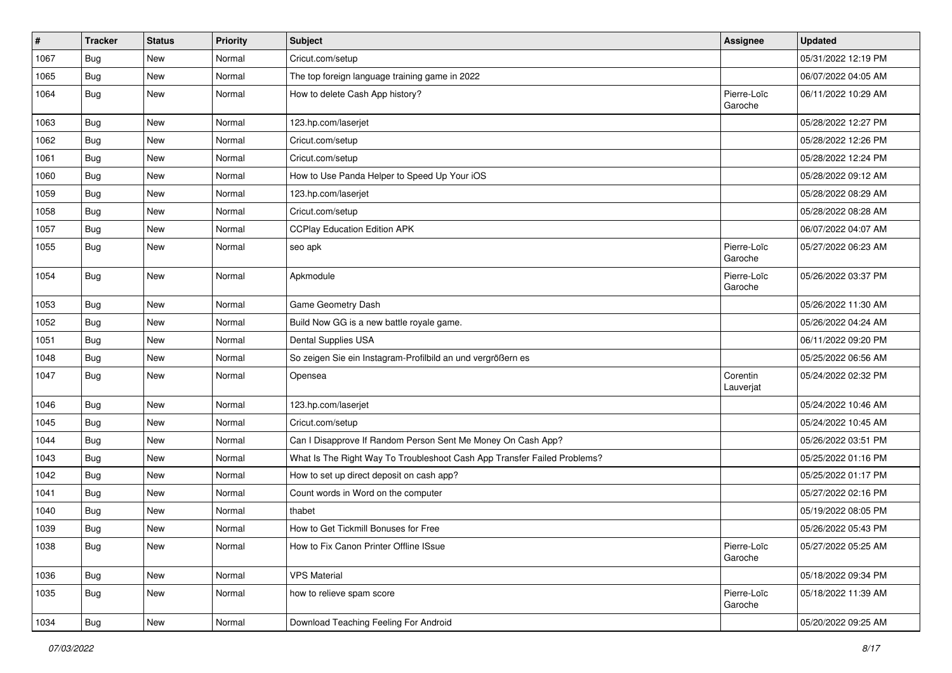| #    | <b>Tracker</b> | <b>Status</b> | <b>Priority</b> | <b>Subject</b>                                                           | <b>Assignee</b>        | <b>Updated</b>      |
|------|----------------|---------------|-----------------|--------------------------------------------------------------------------|------------------------|---------------------|
| 1067 | <b>Bug</b>     | New           | Normal          | Cricut.com/setup                                                         |                        | 05/31/2022 12:19 PM |
| 1065 | Bug            | <b>New</b>    | Normal          | The top foreign language training game in 2022                           |                        | 06/07/2022 04:05 AM |
| 1064 | Bug            | New           | Normal          | How to delete Cash App history?                                          | Pierre-Loïc<br>Garoche | 06/11/2022 10:29 AM |
| 1063 | Bug            | <b>New</b>    | Normal          | 123.hp.com/laserjet                                                      |                        | 05/28/2022 12:27 PM |
| 1062 | <b>Bug</b>     | New           | Normal          | Cricut.com/setup                                                         |                        | 05/28/2022 12:26 PM |
| 1061 | Bug            | <b>New</b>    | Normal          | Cricut.com/setup                                                         |                        | 05/28/2022 12:24 PM |
| 1060 | Bug            | New           | Normal          | How to Use Panda Helper to Speed Up Your iOS                             |                        | 05/28/2022 09:12 AM |
| 1059 | <b>Bug</b>     | New           | Normal          | 123.hp.com/laserjet                                                      |                        | 05/28/2022 08:29 AM |
| 1058 | Bug            | <b>New</b>    | Normal          | Cricut.com/setup                                                         |                        | 05/28/2022 08:28 AM |
| 1057 | <b>Bug</b>     | New           | Normal          | <b>CCPlay Education Edition APK</b>                                      |                        | 06/07/2022 04:07 AM |
| 1055 | Bug            | New           | Normal          | seo apk                                                                  | Pierre-Loïc<br>Garoche | 05/27/2022 06:23 AM |
| 1054 | Bug            | <b>New</b>    | Normal          | Apkmodule                                                                | Pierre-Loïc<br>Garoche | 05/26/2022 03:37 PM |
| 1053 | Bug            | <b>New</b>    | Normal          | Game Geometry Dash                                                       |                        | 05/26/2022 11:30 AM |
| 1052 | Bug            | New           | Normal          | Build Now GG is a new battle royale game.                                |                        | 05/26/2022 04:24 AM |
| 1051 | Bug            | <b>New</b>    | Normal          | Dental Supplies USA                                                      |                        | 06/11/2022 09:20 PM |
| 1048 | Bug            | New           | Normal          | So zeigen Sie ein Instagram-Profilbild an und vergrößern es              |                        | 05/25/2022 06:56 AM |
| 1047 | Bug            | New           | Normal          | Opensea                                                                  | Corentin<br>Lauverjat  | 05/24/2022 02:32 PM |
| 1046 | Bug            | <b>New</b>    | Normal          | 123.hp.com/laserjet                                                      |                        | 05/24/2022 10:46 AM |
| 1045 | Bug            | <b>New</b>    | Normal          | Cricut.com/setup                                                         |                        | 05/24/2022 10:45 AM |
| 1044 | Bug            | New           | Normal          | Can I Disapprove If Random Person Sent Me Money On Cash App?             |                        | 05/26/2022 03:51 PM |
| 1043 | Bug            | New           | Normal          | What Is The Right Way To Troubleshoot Cash App Transfer Failed Problems? |                        | 05/25/2022 01:16 PM |
| 1042 | Bug            | <b>New</b>    | Normal          | How to set up direct deposit on cash app?                                |                        | 05/25/2022 01:17 PM |
| 1041 | Bug            | New           | Normal          | Count words in Word on the computer                                      |                        | 05/27/2022 02:16 PM |
| 1040 | Bug            | New           | Normal          | thabet                                                                   |                        | 05/19/2022 08:05 PM |
| 1039 | Bug            | New           | Normal          | How to Get Tickmill Bonuses for Free                                     |                        | 05/26/2022 05:43 PM |
| 1038 | I Bug          | New           | Normal          | How to Fix Canon Printer Offline ISsue                                   | Pierre-Loïc<br>Garoche | 05/27/2022 05:25 AM |
| 1036 | Bug            | New           | Normal          | <b>VPS Material</b>                                                      |                        | 05/18/2022 09:34 PM |
| 1035 | Bug            | New           | Normal          | how to relieve spam score                                                | Pierre-Loïc<br>Garoche | 05/18/2022 11:39 AM |
| 1034 | Bug            | New           | Normal          | Download Teaching Feeling For Android                                    |                        | 05/20/2022 09:25 AM |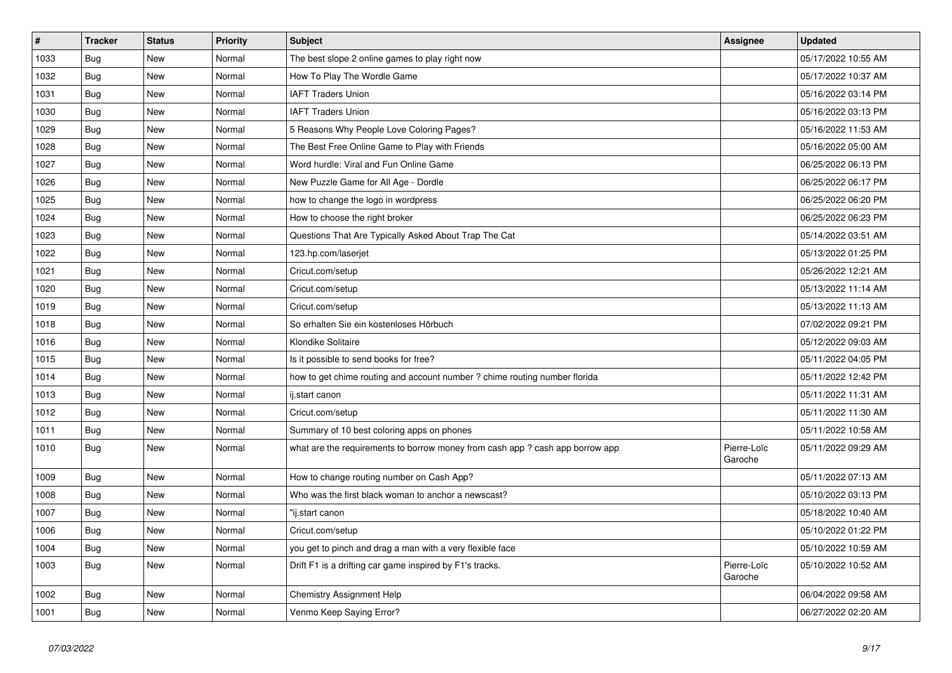| $\vert$ # | <b>Tracker</b> | <b>Status</b> | <b>Priority</b> | <b>Subject</b>                                                               | <b>Assignee</b>        | <b>Updated</b>      |
|-----------|----------------|---------------|-----------------|------------------------------------------------------------------------------|------------------------|---------------------|
| 1033      | Bug            | <b>New</b>    | Normal          | The best slope 2 online games to play right now                              |                        | 05/17/2022 10:55 AM |
| 1032      | <b>Bug</b>     | <b>New</b>    | Normal          | How To Play The Wordle Game                                                  |                        | 05/17/2022 10:37 AM |
| 1031      | Bug            | New           | Normal          | <b>IAFT Traders Union</b>                                                    |                        | 05/16/2022 03:14 PM |
| 1030      | Bug            | New           | Normal          | <b>IAFT Traders Union</b>                                                    |                        | 05/16/2022 03:13 PM |
| 1029      | <b>Bug</b>     | New           | Normal          | 5 Reasons Why People Love Coloring Pages?                                    |                        | 05/16/2022 11:53 AM |
| 1028      | <b>Bug</b>     | <b>New</b>    | Normal          | The Best Free Online Game to Play with Friends                               |                        | 05/16/2022 05:00 AM |
| 1027      | Bug            | <b>New</b>    | Normal          | Word hurdle: Viral and Fun Online Game                                       |                        | 06/25/2022 06:13 PM |
| 1026      | Bug            | New           | Normal          | New Puzzle Game for All Age - Dordle                                         |                        | 06/25/2022 06:17 PM |
| 1025      | Bug            | New           | Normal          | how to change the logo in wordpress                                          |                        | 06/25/2022 06:20 PM |
| 1024      | <b>Bug</b>     | New           | Normal          | How to choose the right broker                                               |                        | 06/25/2022 06:23 PM |
| 1023      | Bug            | New           | Normal          | Questions That Are Typically Asked About Trap The Cat                        |                        | 05/14/2022 03:51 AM |
| 1022      | <b>Bug</b>     | New           | Normal          | 123.hp.com/laserjet                                                          |                        | 05/13/2022 01:25 PM |
| 1021      | <b>Bug</b>     | New           | Normal          | Cricut.com/setup                                                             |                        | 05/26/2022 12:21 AM |
| 1020      | Bug            | New           | Normal          | Cricut.com/setup                                                             |                        | 05/13/2022 11:14 AM |
| 1019      | Bug            | New           | Normal          | Cricut.com/setup                                                             |                        | 05/13/2022 11:13 AM |
| 1018      | Bug            | New           | Normal          | So erhalten Sie ein kostenloses Hörbuch                                      |                        | 07/02/2022 09:21 PM |
| 1016      | Bug            | New           | Normal          | Klondike Solitaire                                                           |                        | 05/12/2022 09:03 AM |
| 1015      | <b>Bug</b>     | New           | Normal          | Is it possible to send books for free?                                       |                        | 05/11/2022 04:05 PM |
| 1014      | Bug            | New           | Normal          | how to get chime routing and account number ? chime routing number florida   |                        | 05/11/2022 12:42 PM |
| 1013      | Bug            | New           | Normal          | ij.start canon                                                               |                        | 05/11/2022 11:31 AM |
| 1012      | Bug            | New           | Normal          | Cricut.com/setup                                                             |                        | 05/11/2022 11:30 AM |
| 1011      | <b>Bug</b>     | New           | Normal          | Summary of 10 best coloring apps on phones                                   |                        | 05/11/2022 10:58 AM |
| 1010      | Bug            | New           | Normal          | what are the requirements to borrow money from cash app? cash app borrow app | Pierre-Loïc<br>Garoche | 05/11/2022 09:29 AM |
| 1009      | <b>Bug</b>     | <b>New</b>    | Normal          | How to change routing number on Cash App?                                    |                        | 05/11/2022 07:13 AM |
| 1008      | <b>Bug</b>     | New           | Normal          | Who was the first black woman to anchor a newscast?                          |                        | 05/10/2022 03:13 PM |
| 1007      | Bug            | New           | Normal          | 'ij.start canon                                                              |                        | 05/18/2022 10:40 AM |
| 1006      | Bug            | New           | Normal          | Cricut.com/setup                                                             |                        | 05/10/2022 01:22 PM |
| 1004      | <b>Bug</b>     | New           | Normal          | you get to pinch and drag a man with a very flexible face                    |                        | 05/10/2022 10:59 AM |
| 1003      | <b>Bug</b>     | New           | Normal          | Drift F1 is a drifting car game inspired by F1's tracks.                     | Pierre-Loïc<br>Garoche | 05/10/2022 10:52 AM |
| 1002      | Bug            | New           | Normal          | Chemistry Assignment Help                                                    |                        | 06/04/2022 09:58 AM |
| 1001      | Bug            | New           | Normal          | Venmo Keep Saying Error?                                                     |                        | 06/27/2022 02:20 AM |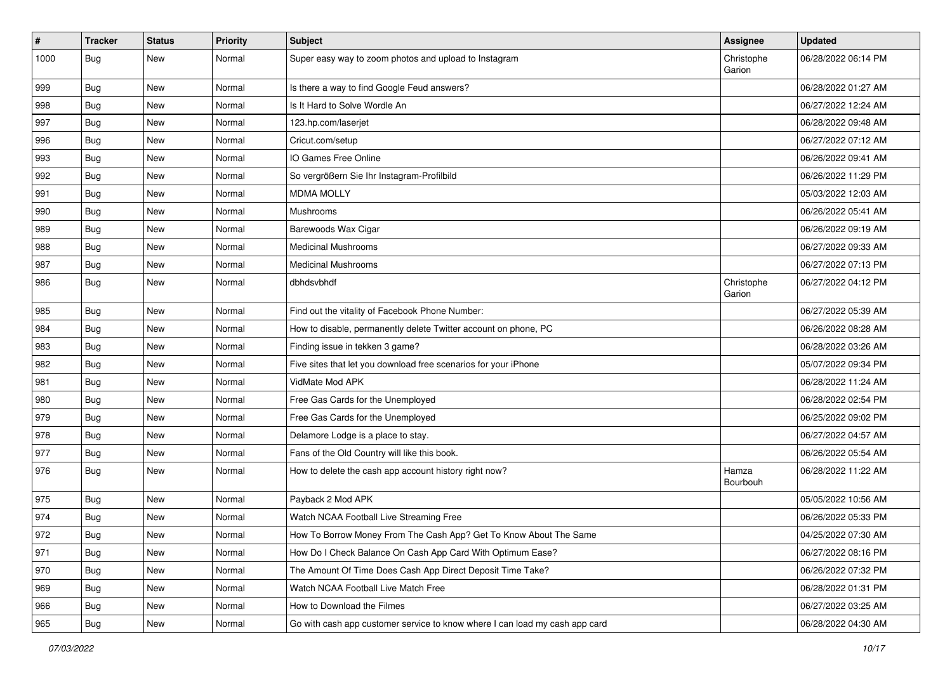| $\sharp$ | <b>Tracker</b> | <b>Status</b> | <b>Priority</b> | Subject                                                                     | <b>Assignee</b>      | <b>Updated</b>      |
|----------|----------------|---------------|-----------------|-----------------------------------------------------------------------------|----------------------|---------------------|
| 1000     | <b>Bug</b>     | New           | Normal          | Super easy way to zoom photos and upload to Instagram                       | Christophe<br>Garion | 06/28/2022 06:14 PM |
| 999      | <b>Bug</b>     | New           | Normal          | Is there a way to find Google Feud answers?                                 |                      | 06/28/2022 01:27 AM |
| 998      | <b>Bug</b>     | <b>New</b>    | Normal          | Is It Hard to Solve Wordle An                                               |                      | 06/27/2022 12:24 AM |
| 997      | Bug            | <b>New</b>    | Normal          | 123.hp.com/laserjet                                                         |                      | 06/28/2022 09:48 AM |
| 996      | Bug            | New           | Normal          | Cricut.com/setup                                                            |                      | 06/27/2022 07:12 AM |
| 993      | <b>Bug</b>     | New           | Normal          | IO Games Free Online                                                        |                      | 06/26/2022 09:41 AM |
| 992      | Bug            | New           | Normal          | So vergrößern Sie Ihr Instagram-Profilbild                                  |                      | 06/26/2022 11:29 PM |
| 991      | <b>Bug</b>     | New           | Normal          | <b>MDMA MOLLY</b>                                                           |                      | 05/03/2022 12:03 AM |
| 990      | Bug            | <b>New</b>    | Normal          | Mushrooms                                                                   |                      | 06/26/2022 05:41 AM |
| 989      | <b>Bug</b>     | New           | Normal          | Barewoods Wax Cigar                                                         |                      | 06/26/2022 09:19 AM |
| 988      | Bug            | New           | Normal          | <b>Medicinal Mushrooms</b>                                                  |                      | 06/27/2022 09:33 AM |
| 987      | <b>Bug</b>     | New           | Normal          | <b>Medicinal Mushrooms</b>                                                  |                      | 06/27/2022 07:13 PM |
| 986      | <b>Bug</b>     | New           | Normal          | dbhdsvbhdf                                                                  | Christophe<br>Garion | 06/27/2022 04:12 PM |
| 985      | Bug            | New           | Normal          | Find out the vitality of Facebook Phone Number:                             |                      | 06/27/2022 05:39 AM |
| 984      | Bug            | New           | Normal          | How to disable, permanently delete Twitter account on phone, PC             |                      | 06/26/2022 08:28 AM |
| 983      | Bug            | <b>New</b>    | Normal          | Finding issue in tekken 3 game?                                             |                      | 06/28/2022 03:26 AM |
| 982      | Bug            | New           | Normal          | Five sites that let you download free scenarios for your iPhone             |                      | 05/07/2022 09:34 PM |
| 981      | Bug            | <b>New</b>    | Normal          | VidMate Mod APK                                                             |                      | 06/28/2022 11:24 AM |
| 980      | Bug            | New           | Normal          | Free Gas Cards for the Unemployed                                           |                      | 06/28/2022 02:54 PM |
| 979      | <b>Bug</b>     | New           | Normal          | Free Gas Cards for the Unemployed                                           |                      | 06/25/2022 09:02 PM |
| 978      | Bug            | New           | Normal          | Delamore Lodge is a place to stay.                                          |                      | 06/27/2022 04:57 AM |
| 977      | <b>Bug</b>     | New           | Normal          | Fans of the Old Country will like this book.                                |                      | 06/26/2022 05:54 AM |
| 976      | <b>Bug</b>     | New           | Normal          | How to delete the cash app account history right now?                       | Hamza<br>Bourbouh    | 06/28/2022 11:22 AM |
| 975      | Bug            | New           | Normal          | Payback 2 Mod APK                                                           |                      | 05/05/2022 10:56 AM |
| 974      | <b>Bug</b>     | New           | Normal          | Watch NCAA Football Live Streaming Free                                     |                      | 06/26/2022 05:33 PM |
| 972      | Bug            | New           | Normal          | How To Borrow Money From The Cash App? Get To Know About The Same           |                      | 04/25/2022 07:30 AM |
| 971      | Bug            | New           | Normal          | How Do I Check Balance On Cash App Card With Optimum Ease?                  |                      | 06/27/2022 08:16 PM |
| 970      | Bug            | New           | Normal          | The Amount Of Time Does Cash App Direct Deposit Time Take?                  |                      | 06/26/2022 07:32 PM |
| 969      | <b>Bug</b>     | New           | Normal          | Watch NCAA Football Live Match Free                                         |                      | 06/28/2022 01:31 PM |
| 966      | Bug            | New           | Normal          | How to Download the Filmes                                                  |                      | 06/27/2022 03:25 AM |
| 965      | Bug            | New           | Normal          | Go with cash app customer service to know where I can load my cash app card |                      | 06/28/2022 04:30 AM |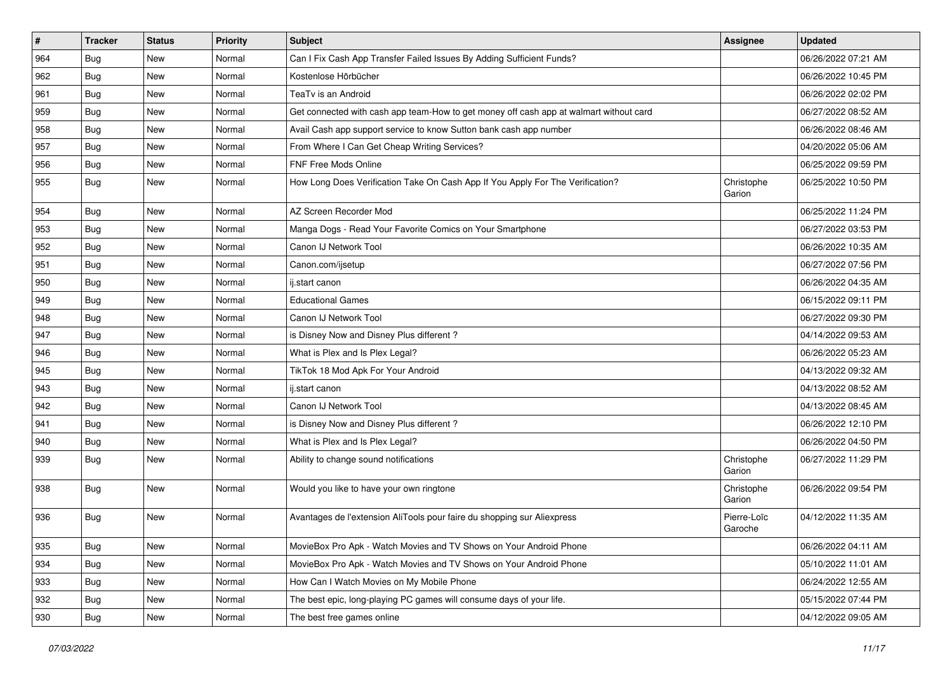| $\vert$ # | <b>Tracker</b> | <b>Status</b> | Priority | Subject                                                                                | Assignee               | <b>Updated</b>      |
|-----------|----------------|---------------|----------|----------------------------------------------------------------------------------------|------------------------|---------------------|
| 964       | Bug            | New           | Normal   | Can I Fix Cash App Transfer Failed Issues By Adding Sufficient Funds?                  |                        | 06/26/2022 07:21 AM |
| 962       | Bug            | <b>New</b>    | Normal   | Kostenlose Hörbücher                                                                   |                        | 06/26/2022 10:45 PM |
| 961       | Bug            | New           | Normal   | TeaTv is an Android                                                                    |                        | 06/26/2022 02:02 PM |
| 959       | Bug            | New           | Normal   | Get connected with cash app team-How to get money off cash app at walmart without card |                        | 06/27/2022 08:52 AM |
| 958       | <b>Bug</b>     | <b>New</b>    | Normal   | Avail Cash app support service to know Sutton bank cash app number                     |                        | 06/26/2022 08:46 AM |
| 957       | Bug            | New           | Normal   | From Where I Can Get Cheap Writing Services?                                           |                        | 04/20/2022 05:06 AM |
| 956       | Bug            | New           | Normal   | FNF Free Mods Online                                                                   |                        | 06/25/2022 09:59 PM |
| 955       | Bug            | New           | Normal   | How Long Does Verification Take On Cash App If You Apply For The Verification?         | Christophe<br>Garion   | 06/25/2022 10:50 PM |
| 954       | Bug            | <b>New</b>    | Normal   | AZ Screen Recorder Mod                                                                 |                        | 06/25/2022 11:24 PM |
| 953       | Bug            | New           | Normal   | Manga Dogs - Read Your Favorite Comics on Your Smartphone                              |                        | 06/27/2022 03:53 PM |
| 952       | Bug            | New           | Normal   | Canon IJ Network Tool                                                                  |                        | 06/26/2022 10:35 AM |
| 951       | Bug            | <b>New</b>    | Normal   | Canon.com/ijsetup                                                                      |                        | 06/27/2022 07:56 PM |
| 950       | <b>Bug</b>     | New           | Normal   | ij.start canon                                                                         |                        | 06/26/2022 04:35 AM |
| 949       | Bug            | New           | Normal   | <b>Educational Games</b>                                                               |                        | 06/15/2022 09:11 PM |
| 948       | Bug            | New           | Normal   | Canon IJ Network Tool                                                                  |                        | 06/27/2022 09:30 PM |
| 947       | Bug            | New           | Normal   | is Disney Now and Disney Plus different?                                               |                        | 04/14/2022 09:53 AM |
| 946       | Bug            | <b>New</b>    | Normal   | What is Plex and Is Plex Legal?                                                        |                        | 06/26/2022 05:23 AM |
| 945       | <b>Bug</b>     | New           | Normal   | TikTok 18 Mod Apk For Your Android                                                     |                        | 04/13/2022 09:32 AM |
| 943       | Bug            | New           | Normal   | ij.start canon                                                                         |                        | 04/13/2022 08:52 AM |
| 942       | Bug            | New           | Normal   | Canon IJ Network Tool                                                                  |                        | 04/13/2022 08:45 AM |
| 941       | Bug            | New           | Normal   | is Disney Now and Disney Plus different?                                               |                        | 06/26/2022 12:10 PM |
| 940       | <b>Bug</b>     | New           | Normal   | What is Plex and Is Plex Legal?                                                        |                        | 06/26/2022 04:50 PM |
| 939       | <b>Bug</b>     | New           | Normal   | Ability to change sound notifications                                                  | Christophe<br>Garion   | 06/27/2022 11:29 PM |
| 938       | Bug            | <b>New</b>    | Normal   | Would you like to have your own ringtone                                               | Christophe<br>Garion   | 06/26/2022 09:54 PM |
| 936       | Bug            | New           | Normal   | Avantages de l'extension AliTools pour faire du shopping sur Aliexpress                | Pierre-Loïc<br>Garoche | 04/12/2022 11:35 AM |
| 935       | Bug            | New           | Normal   | MovieBox Pro Apk - Watch Movies and TV Shows on Your Android Phone                     |                        | 06/26/2022 04:11 AM |
| 934       | Bug            | New           | Normal   | MovieBox Pro Apk - Watch Movies and TV Shows on Your Android Phone                     |                        | 05/10/2022 11:01 AM |
| 933       | Bug            | New           | Normal   | How Can I Watch Movies on My Mobile Phone                                              |                        | 06/24/2022 12:55 AM |
| 932       | Bug            | New           | Normal   | The best epic, long-playing PC games will consume days of your life.                   |                        | 05/15/2022 07:44 PM |
| 930       | <b>Bug</b>     | New           | Normal   | The best free games online                                                             |                        | 04/12/2022 09:05 AM |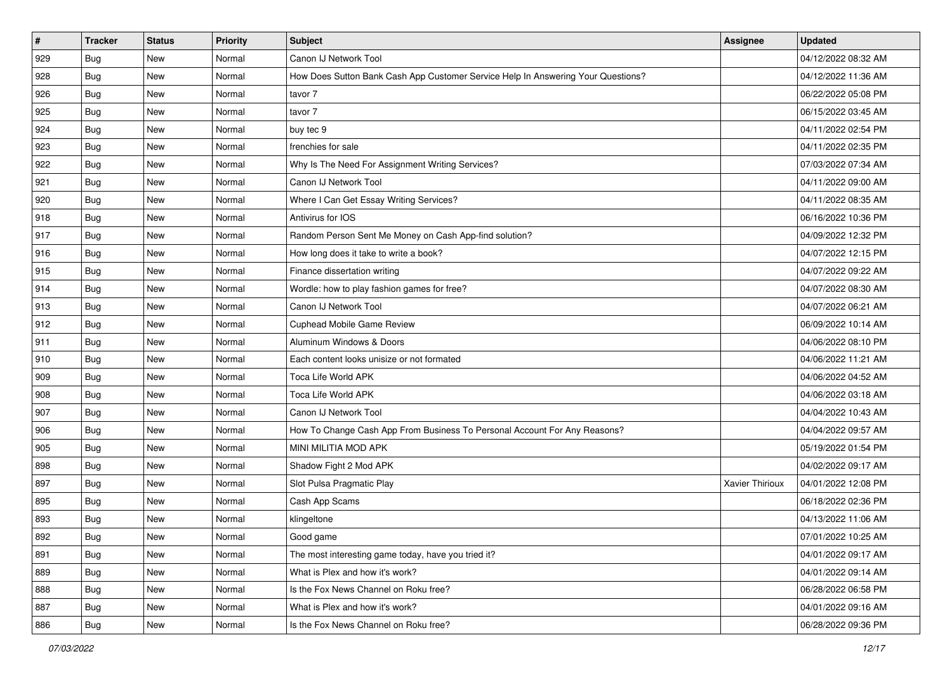| #   | <b>Tracker</b> | <b>Status</b> | Priority | <b>Subject</b>                                                                   | <b>Assignee</b> | <b>Updated</b>      |
|-----|----------------|---------------|----------|----------------------------------------------------------------------------------|-----------------|---------------------|
| 929 | <b>Bug</b>     | New           | Normal   | Canon IJ Network Tool                                                            |                 | 04/12/2022 08:32 AM |
| 928 | Bug            | New           | Normal   | How Does Sutton Bank Cash App Customer Service Help In Answering Your Questions? |                 | 04/12/2022 11:36 AM |
| 926 | Bug            | New           | Normal   | tavor 7                                                                          |                 | 06/22/2022 05:08 PM |
| 925 | <b>Bug</b>     | New           | Normal   | tavor 7                                                                          |                 | 06/15/2022 03:45 AM |
| 924 | Bug            | New           | Normal   | buy tec 9                                                                        |                 | 04/11/2022 02:54 PM |
| 923 | <b>Bug</b>     | New           | Normal   | frenchies for sale                                                               |                 | 04/11/2022 02:35 PM |
| 922 | <b>Bug</b>     | New           | Normal   | Why Is The Need For Assignment Writing Services?                                 |                 | 07/03/2022 07:34 AM |
| 921 | Bug            | New           | Normal   | Canon IJ Network Tool                                                            |                 | 04/11/2022 09:00 AM |
| 920 | Bug            | New           | Normal   | Where I Can Get Essay Writing Services?                                          |                 | 04/11/2022 08:35 AM |
| 918 | Bug            | New           | Normal   | Antivirus for IOS                                                                |                 | 06/16/2022 10:36 PM |
| 917 | Bug            | New           | Normal   | Random Person Sent Me Money on Cash App-find solution?                           |                 | 04/09/2022 12:32 PM |
| 916 | Bug            | New           | Normal   | How long does it take to write a book?                                           |                 | 04/07/2022 12:15 PM |
| 915 | Bug            | New           | Normal   | Finance dissertation writing                                                     |                 | 04/07/2022 09:22 AM |
| 914 | <b>Bug</b>     | New           | Normal   | Wordle: how to play fashion games for free?                                      |                 | 04/07/2022 08:30 AM |
| 913 | <b>Bug</b>     | New           | Normal   | Canon IJ Network Tool                                                            |                 | 04/07/2022 06:21 AM |
| 912 | <b>Bug</b>     | New           | Normal   | Cuphead Mobile Game Review                                                       |                 | 06/09/2022 10:14 AM |
| 911 | <b>Bug</b>     | New           | Normal   | Aluminum Windows & Doors                                                         |                 | 04/06/2022 08:10 PM |
| 910 | Bug            | New           | Normal   | Each content looks unisize or not formated                                       |                 | 04/06/2022 11:21 AM |
| 909 | <b>Bug</b>     | New           | Normal   | Toca Life World APK                                                              |                 | 04/06/2022 04:52 AM |
| 908 | Bug            | New           | Normal   | Toca Life World APK                                                              |                 | 04/06/2022 03:18 AM |
| 907 | Bug            | New           | Normal   | Canon IJ Network Tool                                                            |                 | 04/04/2022 10:43 AM |
| 906 | Bug            | New           | Normal   | How To Change Cash App From Business To Personal Account For Any Reasons?        |                 | 04/04/2022 09:57 AM |
| 905 | Bug            | New           | Normal   | MINI MILITIA MOD APK                                                             |                 | 05/19/2022 01:54 PM |
| 898 | <b>Bug</b>     | New           | Normal   | Shadow Fight 2 Mod APK                                                           |                 | 04/02/2022 09:17 AM |
| 897 | Bug            | New           | Normal   | Slot Pulsa Pragmatic Play                                                        | Xavier Thirioux | 04/01/2022 12:08 PM |
| 895 | <b>Bug</b>     | New           | Normal   | Cash App Scams                                                                   |                 | 06/18/2022 02:36 PM |
| 893 | <b>Bug</b>     | New           | Normal   | klingeltone                                                                      |                 | 04/13/2022 11:06 AM |
| 892 | Bug            | New           | Normal   | Good game                                                                        |                 | 07/01/2022 10:25 AM |
| 891 | Bug            | New           | Normal   | The most interesting game today, have you tried it?                              |                 | 04/01/2022 09:17 AM |
| 889 | Bug            | New           | Normal   | What is Plex and how it's work?                                                  |                 | 04/01/2022 09:14 AM |
| 888 | Bug            | New           | Normal   | Is the Fox News Channel on Roku free?                                            |                 | 06/28/2022 06:58 PM |
| 887 | <b>Bug</b>     | New           | Normal   | What is Plex and how it's work?                                                  |                 | 04/01/2022 09:16 AM |
| 886 | <b>Bug</b>     | New           | Normal   | Is the Fox News Channel on Roku free?                                            |                 | 06/28/2022 09:36 PM |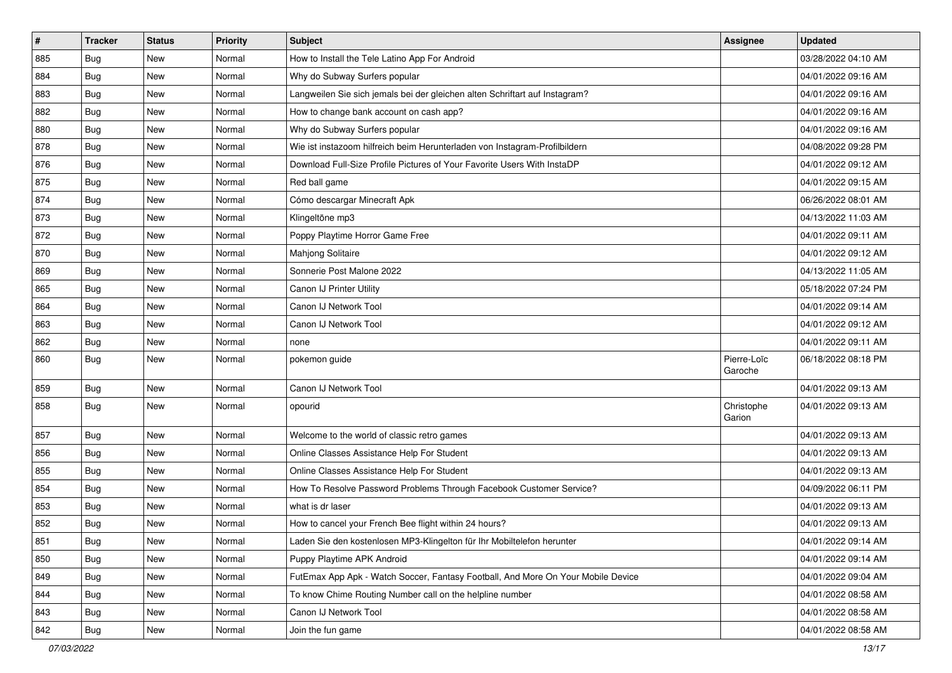| #   | <b>Tracker</b> | <b>Status</b> | <b>Priority</b> | Subject                                                                          | <b>Assignee</b>        | <b>Updated</b>      |
|-----|----------------|---------------|-----------------|----------------------------------------------------------------------------------|------------------------|---------------------|
| 885 | <b>Bug</b>     | New           | Normal          | How to Install the Tele Latino App For Android                                   |                        | 03/28/2022 04:10 AM |
| 884 | Bug            | New           | Normal          | Why do Subway Surfers popular                                                    |                        | 04/01/2022 09:16 AM |
| 883 | <b>Bug</b>     | New           | Normal          | Langweilen Sie sich jemals bei der gleichen alten Schriftart auf Instagram?      |                        | 04/01/2022 09:16 AM |
| 882 | Bug            | New           | Normal          | How to change bank account on cash app?                                          |                        | 04/01/2022 09:16 AM |
| 880 | Bug            | New           | Normal          | Why do Subway Surfers popular                                                    |                        | 04/01/2022 09:16 AM |
| 878 | Bug            | New           | Normal          | Wie ist instazoom hilfreich beim Herunterladen von Instagram-Profilbildern       |                        | 04/08/2022 09:28 PM |
| 876 | Bug            | New           | Normal          | Download Full-Size Profile Pictures of Your Favorite Users With InstaDP          |                        | 04/01/2022 09:12 AM |
| 875 | Bug            | New           | Normal          | Red ball game                                                                    |                        | 04/01/2022 09:15 AM |
| 874 | Bug            | New           | Normal          | Cómo descargar Minecraft Apk                                                     |                        | 06/26/2022 08:01 AM |
| 873 | Bug            | New           | Normal          | Klingeltöne mp3                                                                  |                        | 04/13/2022 11:03 AM |
| 872 | <b>Bug</b>     | New           | Normal          | Poppy Playtime Horror Game Free                                                  |                        | 04/01/2022 09:11 AM |
| 870 | Bug            | New           | Normal          | Mahjong Solitaire                                                                |                        | 04/01/2022 09:12 AM |
| 869 | Bug            | New           | Normal          | Sonnerie Post Malone 2022                                                        |                        | 04/13/2022 11:05 AM |
| 865 | <b>Bug</b>     | New           | Normal          | Canon IJ Printer Utility                                                         |                        | 05/18/2022 07:24 PM |
| 864 | Bug            | New           | Normal          | Canon IJ Network Tool                                                            |                        | 04/01/2022 09:14 AM |
| 863 | <b>Bug</b>     | New           | Normal          | Canon IJ Network Tool                                                            |                        | 04/01/2022 09:12 AM |
| 862 | Bug            | New           | Normal          | none                                                                             |                        | 04/01/2022 09:11 AM |
| 860 | Bug            | New           | Normal          | pokemon guide                                                                    | Pierre-Loïc<br>Garoche | 06/18/2022 08:18 PM |
| 859 | Bug            | New           | Normal          | Canon IJ Network Tool                                                            |                        | 04/01/2022 09:13 AM |
| 858 | Bug            | New           | Normal          | opourid                                                                          | Christophe<br>Garion   | 04/01/2022 09:13 AM |
| 857 | Bug            | New           | Normal          | Welcome to the world of classic retro games                                      |                        | 04/01/2022 09:13 AM |
| 856 | <b>Bug</b>     | New           | Normal          | Online Classes Assistance Help For Student                                       |                        | 04/01/2022 09:13 AM |
| 855 | Bug            | New           | Normal          | Online Classes Assistance Help For Student                                       |                        | 04/01/2022 09:13 AM |
| 854 | Bug            | New           | Normal          | How To Resolve Password Problems Through Facebook Customer Service?              |                        | 04/09/2022 06:11 PM |
| 853 | <b>Bug</b>     | New           | Normal          | what is dr laser                                                                 |                        | 04/01/2022 09:13 AM |
| 852 | <b>Bug</b>     | New           | Normal          | How to cancel your French Bee flight within 24 hours?                            |                        | 04/01/2022 09:13 AM |
| 851 | <b>Bug</b>     | New           | Normal          | Laden Sie den kostenlosen MP3-Klingelton für Ihr Mobiltelefon herunter           |                        | 04/01/2022 09:14 AM |
| 850 | <b>Bug</b>     | New           | Normal          | Puppy Playtime APK Android                                                       |                        | 04/01/2022 09:14 AM |
| 849 | <b>Bug</b>     | New           | Normal          | FutEmax App Apk - Watch Soccer, Fantasy Football, And More On Your Mobile Device |                        | 04/01/2022 09:04 AM |
| 844 | <b>Bug</b>     | New           | Normal          | To know Chime Routing Number call on the helpline number                         |                        | 04/01/2022 08:58 AM |
| 843 | <b>Bug</b>     | New           | Normal          | Canon IJ Network Tool                                                            |                        | 04/01/2022 08:58 AM |
| 842 | <b>Bug</b>     | New           | Normal          | Join the fun game                                                                |                        | 04/01/2022 08:58 AM |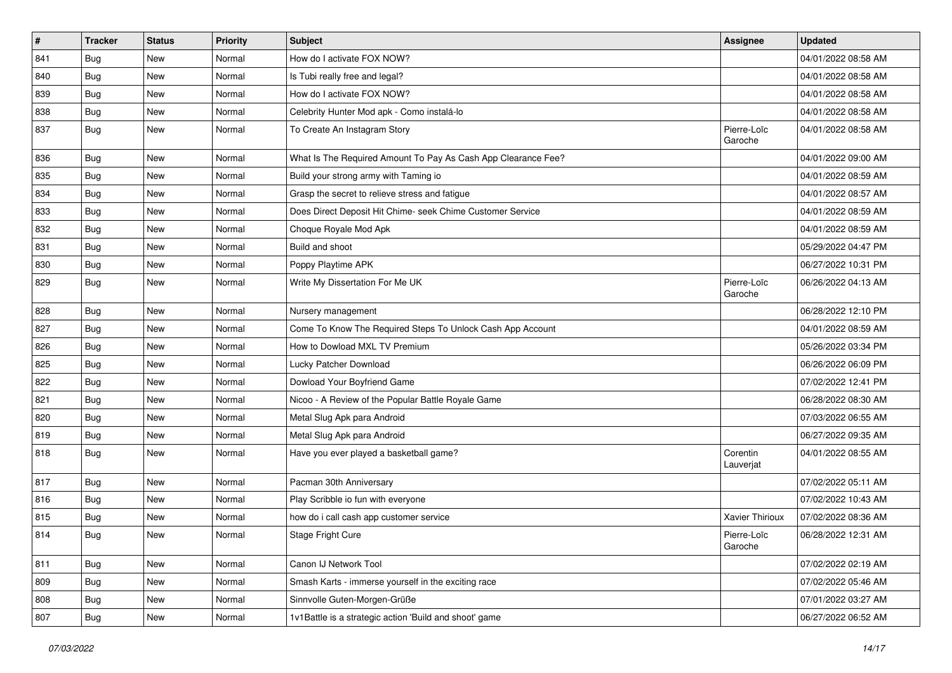| $\vert$ # | <b>Tracker</b> | <b>Status</b> | <b>Priority</b> | <b>Subject</b>                                                | <b>Assignee</b>        | <b>Updated</b>      |
|-----------|----------------|---------------|-----------------|---------------------------------------------------------------|------------------------|---------------------|
| 841       | Bug            | New           | Normal          | How do I activate FOX NOW?                                    |                        | 04/01/2022 08:58 AM |
| 840       | Bug            | New           | Normal          | Is Tubi really free and legal?                                |                        | 04/01/2022 08:58 AM |
| 839       | <b>Bug</b>     | New           | Normal          | How do I activate FOX NOW?                                    |                        | 04/01/2022 08:58 AM |
| 838       | Bug            | New           | Normal          | Celebrity Hunter Mod apk - Como instalá-lo                    |                        | 04/01/2022 08:58 AM |
| 837       | Bug            | New           | Normal          | To Create An Instagram Story                                  | Pierre-Loïc<br>Garoche | 04/01/2022 08:58 AM |
| 836       | Bug            | New           | Normal          | What Is The Required Amount To Pay As Cash App Clearance Fee? |                        | 04/01/2022 09:00 AM |
| 835       | Bug            | New           | Normal          | Build your strong army with Taming io                         |                        | 04/01/2022 08:59 AM |
| 834       | <b>Bug</b>     | New           | Normal          | Grasp the secret to relieve stress and fatigue                |                        | 04/01/2022 08:57 AM |
| 833       | <b>Bug</b>     | New           | Normal          | Does Direct Deposit Hit Chime- seek Chime Customer Service    |                        | 04/01/2022 08:59 AM |
| 832       | <b>Bug</b>     | New           | Normal          | Choque Royale Mod Apk                                         |                        | 04/01/2022 08:59 AM |
| 831       | <b>Bug</b>     | New           | Normal          | Build and shoot                                               |                        | 05/29/2022 04:47 PM |
| 830       | <b>Bug</b>     | New           | Normal          | Poppy Playtime APK                                            |                        | 06/27/2022 10:31 PM |
| 829       | Bug            | New           | Normal          | Write My Dissertation For Me UK                               | Pierre-Loïc<br>Garoche | 06/26/2022 04:13 AM |
| 828       | Bug            | New           | Normal          | Nursery management                                            |                        | 06/28/2022 12:10 PM |
| 827       | <b>Bug</b>     | New           | Normal          | Come To Know The Required Steps To Unlock Cash App Account    |                        | 04/01/2022 08:59 AM |
| 826       | Bug            | New           | Normal          | How to Dowload MXL TV Premium                                 |                        | 05/26/2022 03:34 PM |
| 825       | Bug            | New           | Normal          | Lucky Patcher Download                                        |                        | 06/26/2022 06:09 PM |
| 822       | <b>Bug</b>     | New           | Normal          | Dowload Your Boyfriend Game                                   |                        | 07/02/2022 12:41 PM |
| 821       | <b>Bug</b>     | New           | Normal          | Nicoo - A Review of the Popular Battle Royale Game            |                        | 06/28/2022 08:30 AM |
| 820       | <b>Bug</b>     | New           | Normal          | Metal Slug Apk para Android                                   |                        | 07/03/2022 06:55 AM |
| 819       | <b>Bug</b>     | New           | Normal          | Metal Slug Apk para Android                                   |                        | 06/27/2022 09:35 AM |
| 818       | <b>Bug</b>     | New           | Normal          | Have you ever played a basketball game?                       | Corentin<br>Lauverjat  | 04/01/2022 08:55 AM |
| 817       | Bug            | New           | Normal          | Pacman 30th Anniversary                                       |                        | 07/02/2022 05:11 AM |
| 816       | Bug            | New           | Normal          | Play Scribble io fun with everyone                            |                        | 07/02/2022 10:43 AM |
| 815       | <b>Bug</b>     | New           | Normal          | how do i call cash app customer service                       | Xavier Thirioux        | 07/02/2022 08:36 AM |
| 814       | Bug            | New           | Normal          | Stage Fright Cure                                             | Pierre-Loïc<br>Garoche | 06/28/2022 12:31 AM |
| 811       | Bug            | New           | Normal          | Canon IJ Network Tool                                         |                        | 07/02/2022 02:19 AM |
| 809       | <b>Bug</b>     | New           | Normal          | Smash Karts - immerse yourself in the exciting race           |                        | 07/02/2022 05:46 AM |
| 808       | Bug            | New           | Normal          | Sinnvolle Guten-Morgen-Grüße                                  |                        | 07/01/2022 03:27 AM |
| 807       | <b>Bug</b>     | New           | Normal          | 1v1Battle is a strategic action 'Build and shoot' game        |                        | 06/27/2022 06:52 AM |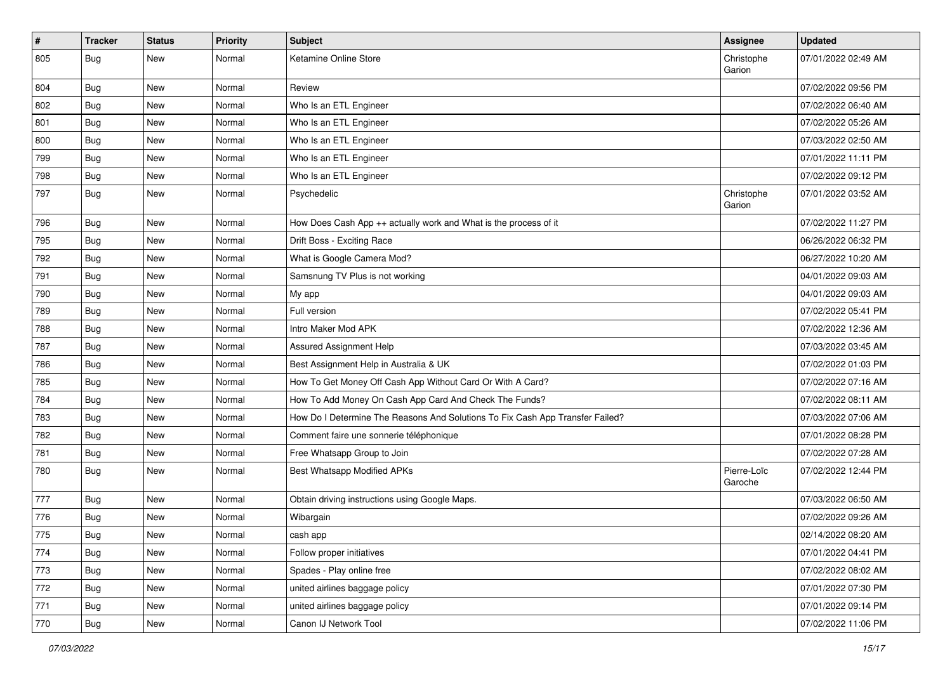| $\vert$ # | <b>Tracker</b> | <b>Status</b> | <b>Priority</b> | Subject                                                                       | <b>Assignee</b>        | <b>Updated</b>      |
|-----------|----------------|---------------|-----------------|-------------------------------------------------------------------------------|------------------------|---------------------|
| 805       | <b>Bug</b>     | New           | Normal          | Ketamine Online Store                                                         | Christophe<br>Garion   | 07/01/2022 02:49 AM |
| 804       | <b>Bug</b>     | New           | Normal          | Review                                                                        |                        | 07/02/2022 09:56 PM |
| 802       | Bug            | New           | Normal          | Who Is an ETL Engineer                                                        |                        | 07/02/2022 06:40 AM |
| 801       | Bug            | New           | Normal          | Who Is an ETL Engineer                                                        |                        | 07/02/2022 05:26 AM |
| 800       | <b>Bug</b>     | New           | Normal          | Who Is an ETL Engineer                                                        |                        | 07/03/2022 02:50 AM |
| 799       | <b>Bug</b>     | New           | Normal          | Who Is an ETL Engineer                                                        |                        | 07/01/2022 11:11 PM |
| 798       | Bug            | New           | Normal          | Who Is an ETL Engineer                                                        |                        | 07/02/2022 09:12 PM |
| 797       | <b>Bug</b>     | New           | Normal          | Psychedelic                                                                   | Christophe<br>Garion   | 07/01/2022 03:52 AM |
| 796       | <b>Bug</b>     | New           | Normal          | How Does Cash App ++ actually work and What is the process of it              |                        | 07/02/2022 11:27 PM |
| 795       | Bug            | New           | Normal          | Drift Boss - Exciting Race                                                    |                        | 06/26/2022 06:32 PM |
| 792       | Bug            | New           | Normal          | What is Google Camera Mod?                                                    |                        | 06/27/2022 10:20 AM |
| 791       | <b>Bug</b>     | New           | Normal          | Samsnung TV Plus is not working                                               |                        | 04/01/2022 09:03 AM |
| 790       | Bug            | New           | Normal          | My app                                                                        |                        | 04/01/2022 09:03 AM |
| 789       | Bug            | New           | Normal          | Full version                                                                  |                        | 07/02/2022 05:41 PM |
| 788       | Bug            | New           | Normal          | Intro Maker Mod APK                                                           |                        | 07/02/2022 12:36 AM |
| 787       | Bug            | New           | Normal          | Assured Assignment Help                                                       |                        | 07/03/2022 03:45 AM |
| 786       | <b>Bug</b>     | New           | Normal          | Best Assignment Help in Australia & UK                                        |                        | 07/02/2022 01:03 PM |
| 785       | Bug            | New           | Normal          | How To Get Money Off Cash App Without Card Or With A Card?                    |                        | 07/02/2022 07:16 AM |
| 784       | Bug            | New           | Normal          | How To Add Money On Cash App Card And Check The Funds?                        |                        | 07/02/2022 08:11 AM |
| 783       | <b>Bug</b>     | New           | Normal          | How Do I Determine The Reasons And Solutions To Fix Cash App Transfer Failed? |                        | 07/03/2022 07:06 AM |
| 782       | Bug            | New           | Normal          | Comment faire une sonnerie téléphonique                                       |                        | 07/01/2022 08:28 PM |
| 781       | Bug            | New           | Normal          | Free Whatsapp Group to Join                                                   |                        | 07/02/2022 07:28 AM |
| 780       | Bug            | New           | Normal          | Best Whatsapp Modified APKs                                                   | Pierre-Loïc<br>Garoche | 07/02/2022 12:44 PM |
| 777       | Bug            | New           | Normal          | Obtain driving instructions using Google Maps.                                |                        | 07/03/2022 06:50 AM |
| 776       | <b>Bug</b>     | New           | Normal          | Wibargain                                                                     |                        | 07/02/2022 09:26 AM |
| 775       | Bug            | New           | Normal          | cash app                                                                      |                        | 02/14/2022 08:20 AM |
| 774       | Bug            | New           | Normal          | Follow proper initiatives                                                     |                        | 07/01/2022 04:41 PM |
| 773       | Bug            | New           | Normal          | Spades - Play online free                                                     |                        | 07/02/2022 08:02 AM |
| 772       | <b>Bug</b>     | New           | Normal          | united airlines baggage policy                                                |                        | 07/01/2022 07:30 PM |
| 771       | Bug            | New           | Normal          | united airlines baggage policy                                                |                        | 07/01/2022 09:14 PM |
| 770       | Bug            | New           | Normal          | Canon IJ Network Tool                                                         |                        | 07/02/2022 11:06 PM |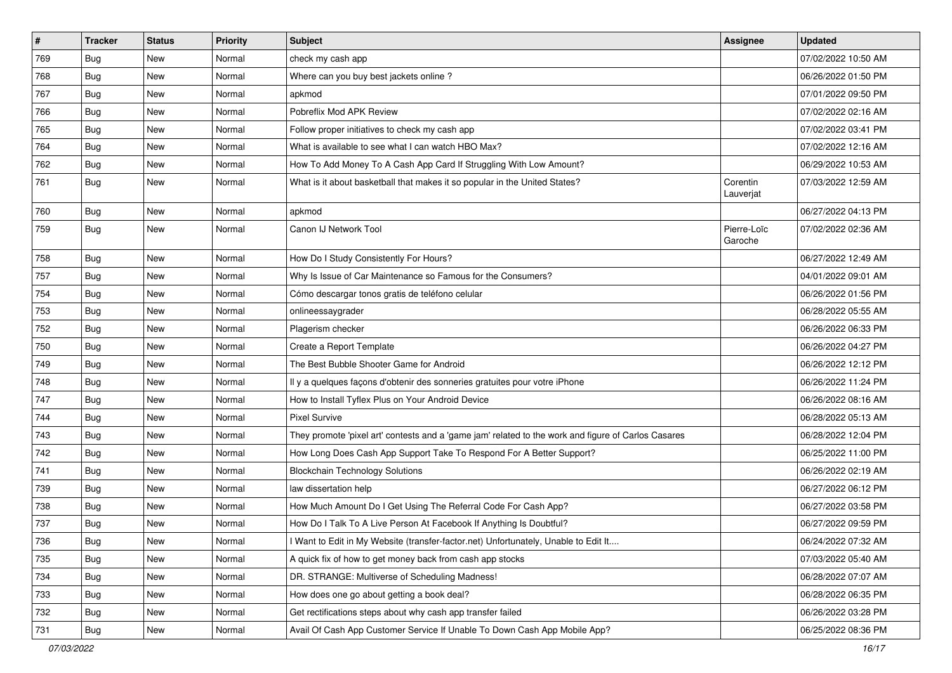| $\vert$ # | Tracker    | <b>Status</b> | <b>Priority</b> | <b>Subject</b>                                                                                      | Assignee               | <b>Updated</b>      |
|-----------|------------|---------------|-----------------|-----------------------------------------------------------------------------------------------------|------------------------|---------------------|
| 769       | <b>Bug</b> | New           | Normal          | check my cash app                                                                                   |                        | 07/02/2022 10:50 AM |
| 768       | Bug        | <b>New</b>    | Normal          | Where can you buy best jackets online?                                                              |                        | 06/26/2022 01:50 PM |
| 767       | <b>Bug</b> | New           | Normal          | apkmod                                                                                              |                        | 07/01/2022 09:50 PM |
| 766       | Bug        | New           | Normal          | Pobreflix Mod APK Review                                                                            |                        | 07/02/2022 02:16 AM |
| 765       | Bug        | New           | Normal          | Follow proper initiatives to check my cash app                                                      |                        | 07/02/2022 03:41 PM |
| 764       | Bug        | New           | Normal          | What is available to see what I can watch HBO Max?                                                  |                        | 07/02/2022 12:16 AM |
| 762       | Bug        | New           | Normal          | How To Add Money To A Cash App Card If Struggling With Low Amount?                                  |                        | 06/29/2022 10:53 AM |
| 761       | Bug        | New           | Normal          | What is it about basketball that makes it so popular in the United States?                          | Corentin<br>Lauverjat  | 07/03/2022 12:59 AM |
| 760       | Bug        | New           | Normal          | apkmod                                                                                              |                        | 06/27/2022 04:13 PM |
| 759       | Bug        | New           | Normal          | Canon IJ Network Tool                                                                               | Pierre-Loïc<br>Garoche | 07/02/2022 02:36 AM |
| 758       | Bug        | New           | Normal          | How Do I Study Consistently For Hours?                                                              |                        | 06/27/2022 12:49 AM |
| 757       | Bug        | New           | Normal          | Why Is Issue of Car Maintenance so Famous for the Consumers?                                        |                        | 04/01/2022 09:01 AM |
| 754       | Bug        | New           | Normal          | Cómo descargar tonos gratis de teléfono celular                                                     |                        | 06/26/2022 01:56 PM |
| 753       | Bug        | New           | Normal          | onlineessaygrader                                                                                   |                        | 06/28/2022 05:55 AM |
| 752       | Bug        | New           | Normal          | Plagerism checker                                                                                   |                        | 06/26/2022 06:33 PM |
| 750       | Bug        | New           | Normal          | Create a Report Template                                                                            |                        | 06/26/2022 04:27 PM |
| 749       | <b>Bug</b> | New           | Normal          | The Best Bubble Shooter Game for Android                                                            |                        | 06/26/2022 12:12 PM |
| 748       | <b>Bug</b> | New           | Normal          | Il y a quelques façons d'obtenir des sonneries gratuites pour votre iPhone                          |                        | 06/26/2022 11:24 PM |
| 747       | <b>Bug</b> | New           | Normal          | How to Install Tyflex Plus on Your Android Device                                                   |                        | 06/26/2022 08:16 AM |
| 744       | <b>Bug</b> | New           | Normal          | <b>Pixel Survive</b>                                                                                |                        | 06/28/2022 05:13 AM |
| 743       | Bug        | New           | Normal          | They promote 'pixel art' contests and a 'game jam' related to the work and figure of Carlos Casares |                        | 06/28/2022 12:04 PM |
| 742       | <b>Bug</b> | New           | Normal          | How Long Does Cash App Support Take To Respond For A Better Support?                                |                        | 06/25/2022 11:00 PM |
| 741       | Bug        | New           | Normal          | <b>Blockchain Technology Solutions</b>                                                              |                        | 06/26/2022 02:19 AM |
| 739       | Bug        | New           | Normal          | law dissertation help                                                                               |                        | 06/27/2022 06:12 PM |
| 738       | <b>Bug</b> | New           | Normal          | How Much Amount Do I Get Using The Referral Code For Cash App?                                      |                        | 06/27/2022 03:58 PM |
| 737       | <b>Bug</b> | New           | Normal          | How Do I Talk To A Live Person At Facebook If Anything Is Doubtful?                                 |                        | 06/27/2022 09:59 PM |
| 736       | Bug        | New           | Normal          | Want to Edit in My Website (transfer-factor.net) Unfortunately, Unable to Edit It                   |                        | 06/24/2022 07:32 AM |
| 735       | <b>Bug</b> | New           | Normal          | A quick fix of how to get money back from cash app stocks                                           |                        | 07/03/2022 05:40 AM |
| 734       | Bug        | New           | Normal          | DR. STRANGE: Multiverse of Scheduling Madness!                                                      |                        | 06/28/2022 07:07 AM |
| 733       | <b>Bug</b> | New           | Normal          | How does one go about getting a book deal?                                                          |                        | 06/28/2022 06:35 PM |
| 732       | <b>Bug</b> | New           | Normal          | Get rectifications steps about why cash app transfer failed                                         |                        | 06/26/2022 03:28 PM |
| 731       | <b>Bug</b> | New           | Normal          | Avail Of Cash App Customer Service If Unable To Down Cash App Mobile App?                           |                        | 06/25/2022 08:36 PM |